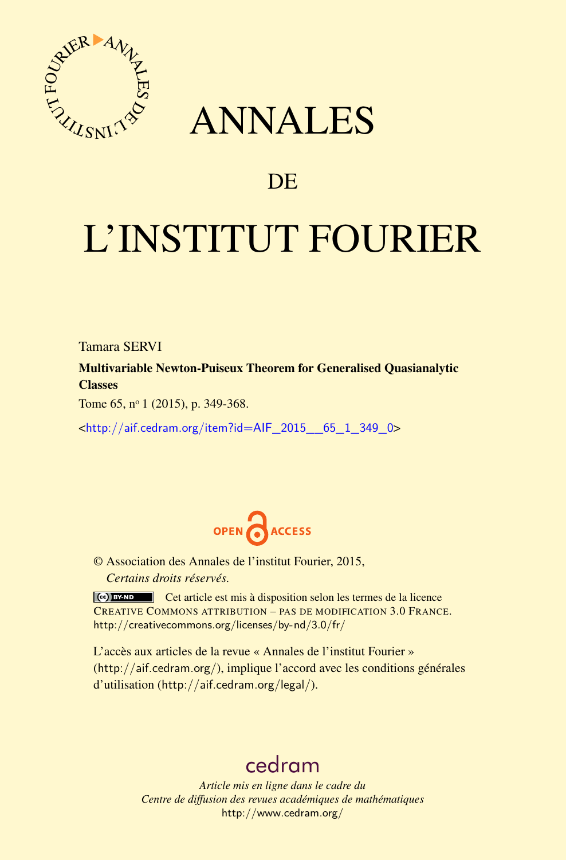

## ANNALES

## **DE**

# L'INSTITUT FOURIER

Tamara SERVI

Multivariable Newton-Puiseux Theorem for Generalised Quasianalytic **Classes** 

Tome 65, nº 1 (2015), p. 349-368.

<[http://aif.cedram.org/item?id=AIF\\_2015\\_\\_65\\_1\\_349\\_0](http://aif.cedram.org/item?id=AIF_2015__65_1_349_0)>



© Association des Annales de l'institut Fourier, 2015, *Certains droits réservés.*

Cet article est mis à disposition selon les termes de la licence CREATIVE COMMONS ATTRIBUTION – PAS DE MODIFICATION 3.0 FRANCE. <http://creativecommons.org/licenses/by-nd/3.0/fr/>

L'accès aux articles de la revue « Annales de l'institut Fourier » (<http://aif.cedram.org/>), implique l'accord avec les conditions générales d'utilisation (<http://aif.cedram.org/legal/>).

## [cedram](http://www.cedram.org/)

*Article mis en ligne dans le cadre du Centre de diffusion des revues académiques de mathématiques* <http://www.cedram.org/>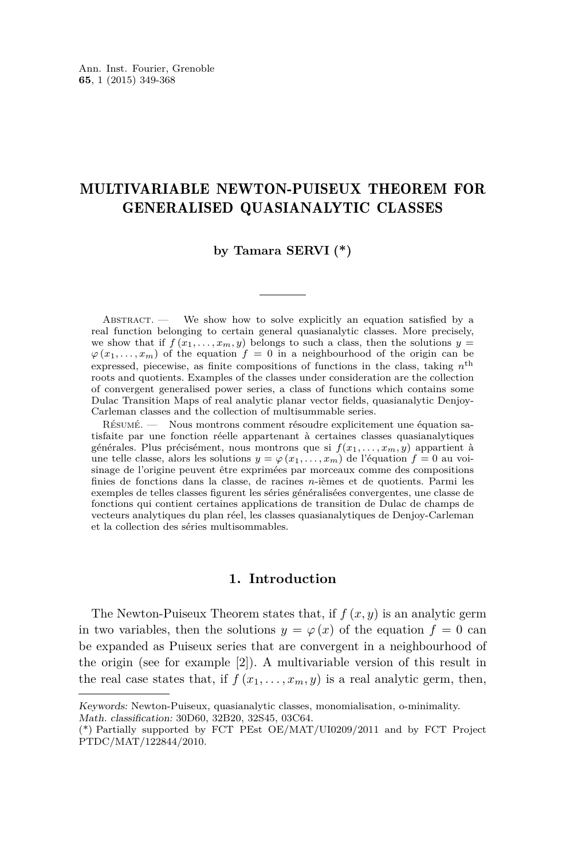### MULTIVARIABLE NEWTON-PUISEUX THEOREM FOR GENERALISED QUASIANALYTIC CLASSES

#### **by Tamara SERVI (\*)**

ABSTRACT. — We show how to solve explicitly an equation satisfied by a real function belonging to certain general quasianalytic classes. More precisely, we show that if  $f(x_1, \ldots, x_m, y)$  belongs to such a class, then the solutions  $y =$  $\varphi(x_1, \ldots, x_m)$  of the equation  $f = 0$  in a neighbourhood of the origin can be expressed, piecewise, as finite compositions of functions in the class, taking *n* th roots and quotients. Examples of the classes under consideration are the collection of convergent generalised power series, a class of functions which contains some Dulac Transition Maps of real analytic planar vector fields, quasianalytic Denjoy-Carleman classes and the collection of multisummable series.

Résumé. — Nous montrons comment résoudre explicitement une équation satisfaite par une fonction réelle appartenant à certaines classes quasianalytiques générales. Plus précisément, nous montrons que si  $f(x_1, \ldots, x_m, y)$  appartient à une telle classe, alors les solutions  $y = \varphi(x_1, \ldots, x_m)$  de l'équation  $f = 0$  au voisinage de l'origine peuvent être exprimées par morceaux comme des compositions finies de fonctions dans la classe, de racines *n*-ièmes et de quotients. Parmi les exemples de telles classes figurent les séries généralisées convergentes, une classe de fonctions qui contient certaines applications de transition de Dulac de champs de vecteurs analytiques du plan réel, les classes quasianalytiques de Denjoy-Carleman et la collection des séries multisommables.

#### **1. Introduction**

The Newton-Puiseux Theorem states that, if *f* (*x, y*) is an analytic germ in two variables, then the solutions  $y = \varphi(x)$  of the equation  $f = 0$  can be expanded as Puiseux series that are convergent in a neighbourhood of the origin (see for example [\[2\]](#page-19-0)). A multivariable version of this result in the real case states that, if  $f(x_1, \ldots, x_m, y)$  is a real analytic germ, then,

Keywords: Newton-Puiseux, quasianalytic classes, monomialisation, o-minimality.

Math. classification: 30D60, 32B20, 32S45, 03C64.

<sup>(\*)</sup> Partially supported by FCT PEst OE/MAT/UI0209/2011 and by FCT Project PTDC/MAT/122844/2010.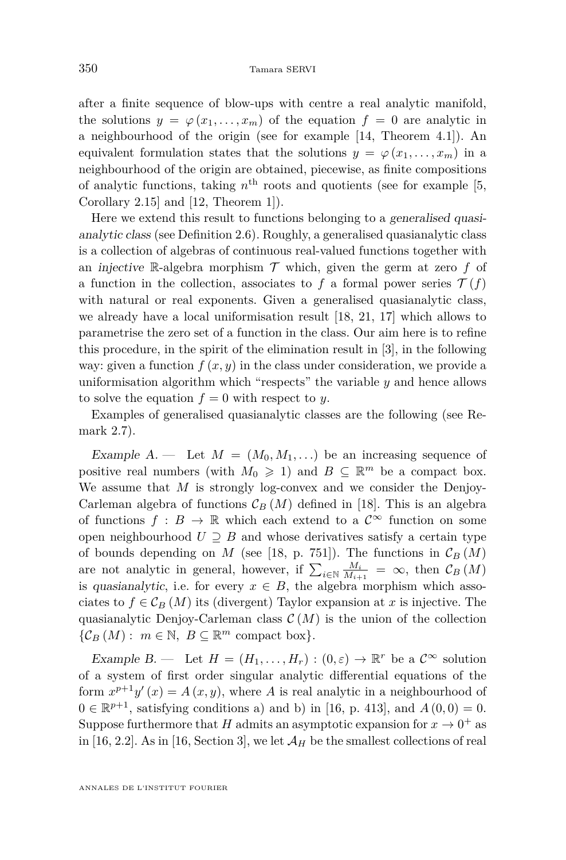after a finite sequence of blow-ups with centre a real analytic manifold, the solutions  $y = \varphi(x_1, \ldots, x_m)$  of the equation  $f = 0$  are analytic in a neighbourhood of the origin (see for example [\[14,](#page-20-0) Theorem 4.1]). An equivalent formulation states that the solutions  $y = \varphi(x_1, \ldots, x_m)$  in a neighbourhood of the origin are obtained, piecewise, as finite compositions of analytic functions, taking  $n<sup>th</sup>$  roots and quotients (see for example [\[5,](#page-19-0) Corollary 2.15] and [\[12,](#page-20-0) Theorem 1]).

Here we extend this result to functions belonging to a generalised quasianalytic class (see Definition [2.6\)](#page-10-0). Roughly, a generalised quasianalytic class is a collection of algebras of continuous real-valued functions together with an injective R-algebra morphism  $\mathcal T$  which, given the germ at zero  $f$  of a function in the collection, associates to f a formal power series  $\mathcal{T}(f)$ with natural or real exponents. Given a generalised quasianalytic class, we already have a local uniformisation result [\[18,](#page-20-0) [21,](#page-20-0) [17\]](#page-20-0) which allows to parametrise the zero set of a function in the class. Our aim here is to refine this procedure, in the spirit of the elimination result in [\[3\]](#page-19-0), in the following way: given a function  $f(x, y)$  in the class under consideration, we provide a uniformisation algorithm which "respects" the variable *y* and hence allows to solve the equation  $f = 0$  with respect to *y*.

Examples of generalised quasianalytic classes are the following (see Remark [2.7\)](#page-10-0).

Example  $A$ . — Let  $M = (M_0, M_1, ...)$  be an increasing sequence of positive real numbers (with  $M_0 \geq 1$ ) and  $B \subseteq \mathbb{R}^m$  be a compact box. We assume that *M* is strongly log-convex and we consider the Denjoy-Carleman algebra of functions  $\mathcal{C}_B(M)$  defined in [\[18\]](#page-20-0). This is an algebra of functions  $f : B \to \mathbb{R}$  which each extend to a  $\mathcal{C}^{\infty}$  function on some open neighbourhood  $U \supseteq B$  and whose derivatives satisfy a certain type of bounds depending on *M* (see [\[18,](#page-20-0) p. 751]). The functions in  $\mathcal{C}_B(M)$ are not analytic in general, however, if  $\sum_{i \in \mathbb{N}} \frac{M_i}{M_{i+1}} = \infty$ , then  $\mathcal{C}_B(M)$ is quasianalytic, i.e. for every  $x \in B$ , the algebra morphism which associates to  $f \in \mathcal{C}_B(M)$  its (divergent) Taylor expansion at *x* is injective. The quasianalytic Denjoy-Carleman class  $\mathcal{C}(M)$  is the union of the collection  $\{\mathcal{C}_B(M): m \in \mathbb{N}, B \subseteq \mathbb{R}^m$  compact box}.

Example B. — Let  $H = (H_1, \ldots, H_r) : (0, \varepsilon) \to \mathbb{R}^r$  be a  $\mathcal{C}^{\infty}$  solution of a system of first order singular analytic differential equations of the form  $x^{p+1}y'(x) = A(x, y)$ , where *A* is real analytic in a neighbourhood of  $0 \in \mathbb{R}^{p+1}$ , satisfying conditions a) and b) in [\[16,](#page-20-0) p. 413], and  $A(0,0) = 0$ . Suppose furthermore that *H* admits an asymptotic expansion for  $x \to 0^+$  as in [\[16,](#page-20-0) 2.2]. As in [16, Section 3], we let  $\mathcal{A}_H$  be the smallest collections of real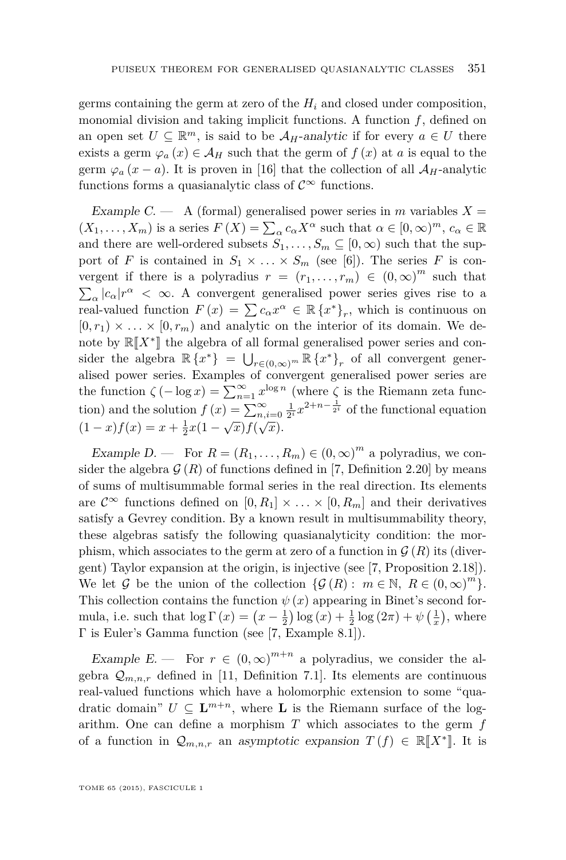germs containing the germ at zero of the *H<sup>i</sup>* and closed under composition, monomial division and taking implicit functions. A function *f*, defined on an open set  $U \subseteq \mathbb{R}^m$ , is said to be  $A_H$ -analytic if for every  $a \in U$  there exists a germ  $\varphi_a(x) \in A_H$  such that the germ of  $f(x)$  at *a* is equal to the germ  $\varphi_a(x-a)$ . It is proven in [\[16\]](#page-20-0) that the collection of all  $\mathcal{A}_H$ -analytic functions forms a quasianalytic class of  $\mathcal{C}^{\infty}$  functions.

Example C. — A (formal) generalised power series in *m* variables  $X =$  $(X_1, \ldots, X_m)$  is a series  $F(X) = \sum_{\alpha} c_{\alpha} X^{\alpha}$  such that  $\alpha \in [0, \infty)^m$ ,  $c_{\alpha} \in \mathbb{R}$ and there are well-ordered subsets  $S_1, \ldots, S_m \subseteq [0, \infty)$  such that the support of *F* is contained in  $S_1 \times \ldots \times S_m$  (see [\[6\]](#page-19-0)). The series *F* is convergent if there is a polyradius  $r = (r_1, \ldots, r_m) \in (0, \infty)^m$  such that  $\sum_{\alpha} |c_{\alpha}| r^{\alpha} < \infty$ . A convergent generalised power series gives rise to a real-valued function  $F(x) = \sum c_{\alpha} x^{\alpha} \in \mathbb{R} \{x^*\}_r$ , which is continuous on  $[0, r_1) \times \ldots \times [0, r_m)$  and analytic on the interior of its domain. We denote by  $\mathbb{R}[\![X^*]\!]$  the algebra of all formal generalised power series and con-<br> $\mathbb{R}[\![X^*]\!]$ sider the algebra  $\mathbb{R} \{x^*\} = \bigcup_{r \in (0,\infty)^m} \mathbb{R} \{x^*\}_r$  of all convergent generalised power series. Examples of convergent generalised power series are the function  $\zeta(-\log x) = \sum_{n=1}^{\infty} x^{\log n}$  (where  $\zeta$  is the Riemann zeta function) and the solution  $f(x) = \sum_{n,i=0}^{\infty} \frac{1}{2^i} x^{2+n-\frac{1}{2^i}}$  of the functional equation  $(1-x)f(x) = x + \frac{1}{2}x(1-\sqrt{x})f(\sqrt{x}).$ 

Example D. — For  $R = (R_1, \ldots, R_m) \in (0, \infty)^m$  a polyradius, we consider the algebra  $\mathcal{G}(R)$  of functions defined in [\[7,](#page-20-0) Definition 2.20] by means of sums of multisummable formal series in the real direction. Its elements are  $\mathcal{C}^{\infty}$  functions defined on  $[0, R_1] \times \ldots \times [0, R_m]$  and their derivatives satisfy a Gevrey condition. By a known result in multisummability theory, these algebras satisfy the following quasianalyticity condition: the morphism, which associates to the germ at zero of a function in  $\mathcal{G}(R)$  its (divergent) Taylor expansion at the origin, is injective (see [\[7,](#page-20-0) Proposition 2.18]). We let G be the union of the collection  $\{\mathcal{G}(R): m \in \mathbb{N}, R \in (0,\infty)^m\}.$ This collection contains the function  $\psi(x)$  appearing in Binet's second formula, i.e. such that  $\log \Gamma(x) = (x - \frac{1}{2}) \log(x) + \frac{1}{2} \log(2\pi) + \psi(\frac{1}{x})$ , where Γ is Euler's Gamma function (see [\[7,](#page-20-0) Example 8.1]).

Example E. — For  $r \in (0,\infty)^{m+n}$  a polyradius, we consider the algebra  $\mathcal{Q}_{m,n,r}$  defined in [\[11,](#page-20-0) Definition 7.1]. Its elements are continuous real-valued functions which have a holomorphic extension to some "quadratic domain"  $U \subseteq \mathbf{L}^{m+n}$ , where **L** is the Riemann surface of the logarithm. One can define a morphism *T* which associates to the germ *f* of a function in  $\mathcal{Q}_{m,n,r}$  an asymptotic expansion  $T(f) \in \mathbb{R}[[X^*]]$ . It is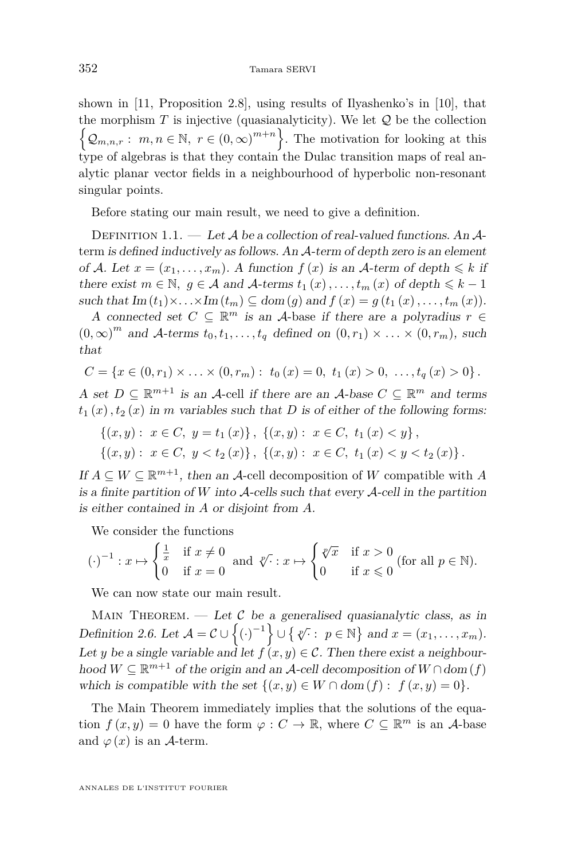shown in [\[11,](#page-20-0) Proposition 2.8], using results of Ilyashenko's in [\[10\]](#page-20-0), that the morphism  $T$  is injective (quasianalyticity). We let  $Q$  be the collection  $\left\{ \mathcal{Q}_{m,n,r}:\ m,n\in\mathbb{N},\ r\in(0,\infty)^{m+n}\right\}$ . The motivation for looking at this type of algebras is that they contain the Dulac transition maps of real analytic planar vector fields in a neighbourhood of hyperbolic non-resonant singular points.

Before stating our main result, we need to give a definition.

DEFINITION 1.1. — Let A be a collection of real-valued functions. An  $\mathcal{A}$ term is defined inductively as follows. An A-term of depth zero is an element of A. Let  $x = (x_1, \ldots, x_m)$ . A function  $f(x)$  is an A-term of depth  $\leq k$  if there exist  $m \in \mathbb{N}$ ,  $g \in \mathcal{A}$  and  $\mathcal{A}$ -terms  $t_1(x), \ldots, t_m(x)$  of depth  $\leq k - 1$ such that  $\text{Im}(t_1)\times\ldots\times\text{Im}(t_m) \subseteq \text{dom}(g)$  and  $f(x) = g(t_1(x),\ldots,t_m(x)).$ 

A connected set  $C \subseteq \mathbb{R}^m$  is an A-base if there are a polyradius  $r \in$  $(0, \infty)^m$  and A-terms  $t_0, t_1, \ldots, t_q$  defined on  $(0, r_1) \times \ldots \times (0, r_m)$ , such that

$$
C = \{x \in (0, r_1) \times \ldots \times (0, r_m): t_0(x) = 0, t_1(x) > 0, \ldots, t_q(x) > 0\}.
$$

A set  $D \subseteq \mathbb{R}^{m+1}$  is an A-cell if there are an A-base  $C \subseteq \mathbb{R}^m$  and terms  $t_1(x)$ ,  $t_2(x)$  in *m* variables such that *D* is of either of the following forms:

$$
\{(x,y): x \in C, y = t_1(x)\}, \{(x,y): x \in C, t_1(x) < y\},\
$$

$$
\{(x,y): x \in C, y < t_2(x)\}, \{(x,y): x \in C, t_1(x) < y < t_2(x)\}.
$$

If  $A \subseteq W \subseteq \mathbb{R}^{m+1}$ , then an A-cell decomposition of W compatible with A is a finite partition of  $W$  into  $A$ -cells such that every  $A$ -cell in the partition is either contained in *A* or disjoint from *A*.

We consider the functions

$$
(\cdot)^{-1}: x \mapsto \begin{cases} \frac{1}{x} & \text{if } x \neq 0 \\ 0 & \text{if } x = 0 \end{cases} \text{ and } \sqrt[p]{\cdot} : x \mapsto \begin{cases} \sqrt[p]{x} & \text{if } x > 0 \\ 0 & \text{if } x \leq 0 \end{cases} \text{ (for all } p \in \mathbb{N}\text{).}
$$

We can now state our main result.

MAIN THEOREM. — Let  $\mathcal C$  be a generalised quasianalytic class, as in Definition [2.6.](#page-10-0) Let  $A = C \cup \{(\cdot)^{-1}\} \cup \{ \sqrt[n]{\cdot} : p \in \mathbb{N} \}$  and  $x = (x_1, \ldots, x_m)$ . Let *y* be a single variable and let  $f(x, y) \in C$ . Then there exist a neighbourhood  $W \subseteq \mathbb{R}^{m+1}$  of the origin and an A-cell decomposition of  $W \cap \text{dom}(f)$ which is compatible with the set  $\{(x, y) \in W \cap \text{dom}(f): f(x, y) = 0\}.$ 

The Main Theorem immediately implies that the solutions of the equation  $f(x, y) = 0$  have the form  $\varphi : C \to \mathbb{R}$ , where  $C \subseteq \mathbb{R}^m$  is an A-base and  $\varphi(x)$  is an A-term.

ANNALES DE L'INSTITUT FOURIER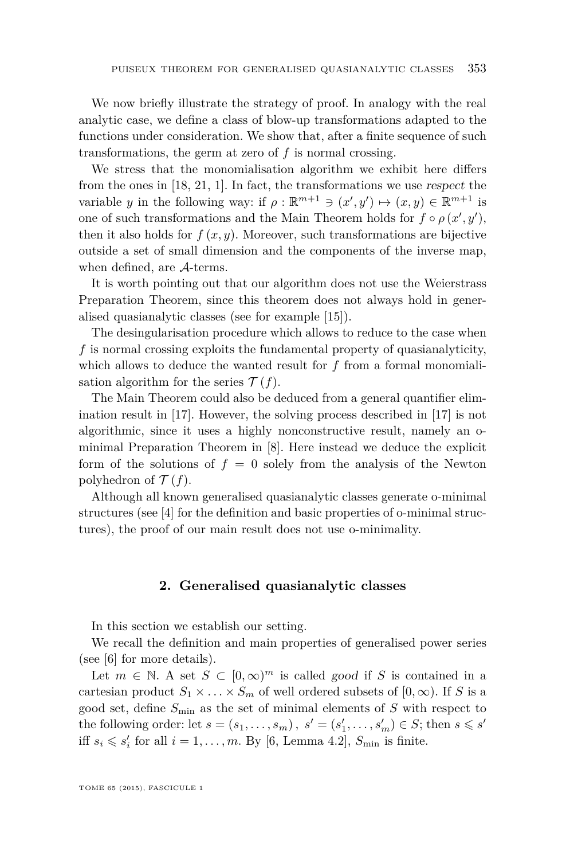We now briefly illustrate the strategy of proof. In analogy with the real analytic case, we define a class of blow-up transformations adapted to the functions under consideration. We show that, after a finite sequence of such transformations, the germ at zero of *f* is normal crossing.

We stress that the monomialisation algorithm we exhibit here differs from the ones in [\[18,](#page-20-0) [21,](#page-20-0) [1\]](#page-19-0). In fact, the transformations we use respect the variable *y* in the following way: if  $\rho : \mathbb{R}^{m+1} \ni (x', y') \mapsto (x, y) \in \mathbb{R}^{m+1}$  is one of such transformations and the Main Theorem holds for  $f \circ \rho(x', y')$ , then it also holds for  $f(x, y)$ . Moreover, such transformations are bijective outside a set of small dimension and the components of the inverse map, when defined, are A-terms.

It is worth pointing out that our algorithm does not use the Weierstrass Preparation Theorem, since this theorem does not always hold in generalised quasianalytic classes (see for example [\[15\]](#page-20-0)).

The desingularisation procedure which allows to reduce to the case when *f* is normal crossing exploits the fundamental property of quasianalyticity, which allows to deduce the wanted result for  $f$  from a formal monomialisation algorithm for the series  $\mathcal{T}(f)$ .

The Main Theorem could also be deduced from a general quantifier elimination result in [\[17\]](#page-20-0). However, the solving process described in [\[17\]](#page-20-0) is not algorithmic, since it uses a highly nonconstructive result, namely an ominimal Preparation Theorem in [\[8\]](#page-20-0). Here instead we deduce the explicit form of the solutions of  $f = 0$  solely from the analysis of the Newton polyhedron of  $\mathcal{T}(f)$ .

Although all known generalised quasianalytic classes generate o-minimal structures (see [\[4\]](#page-19-0) for the definition and basic properties of o-minimal structures), the proof of our main result does not use o-minimality.

#### **2. Generalised quasianalytic classes**

In this section we establish our setting.

We recall the definition and main properties of generalised power series (see [\[6\]](#page-19-0) for more details).

Let  $m \in \mathbb{N}$ . A set  $S \subset [0,\infty)^m$  is called good if *S* is contained in a cartesian product  $S_1 \times \ldots \times S_m$  of well ordered subsets of  $[0, \infty)$ . If *S* is a good set, define *S*min as the set of minimal elements of *S* with respect to the following order: let  $s = (s_1, \ldots, s_m)$ ,  $s' = (s'_1, \ldots, s'_m) \in S$ ; then  $s \le s'$ iff  $s_i \leqslant s'_i$  for all  $i = 1, \ldots, m$ . By [\[6,](#page-19-0) Lemma 4.2],  $S_{\min}$  is finite.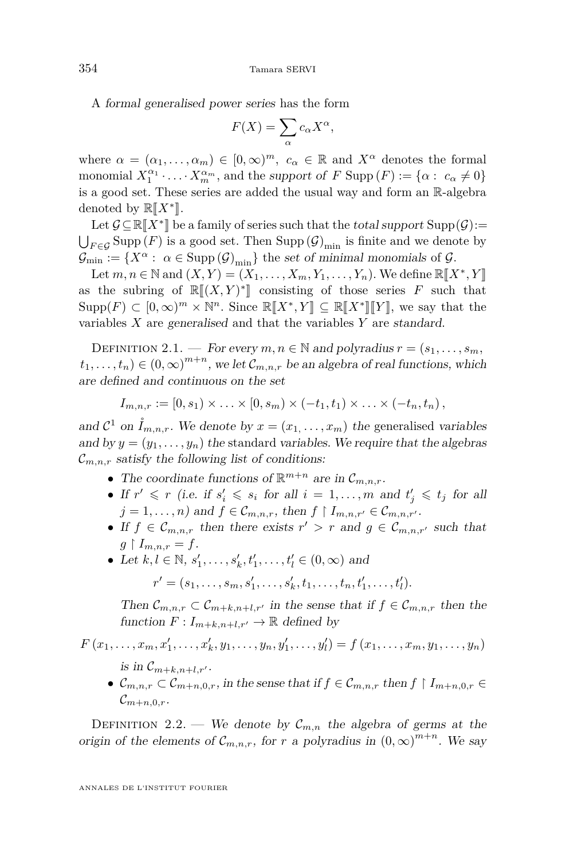<span id="page-6-0"></span>A formal generalised power series has the form

$$
F(X) = \sum_{\alpha} c_{\alpha} X^{\alpha},
$$

where  $\alpha = (\alpha_1, \ldots, \alpha_m) \in [0, \infty)^m$ ,  $c_{\alpha} \in \mathbb{R}$  and  $X^{\alpha}$  denotes the formal monomial  $X_1^{\alpha_1} \cdot \ldots \cdot X_m^{\alpha_m}$ , and the support of *F* Supp  $(F) := \{\alpha : c_\alpha \neq 0\}$ is a good set. These series are added the usual way and form an R-algebra denoted by  $\mathbb{R}[X^*].$ <br>Let  $C \subseteq \mathbb{R}[\mathbf{V}^*]$  be

Let  $\mathcal{G} \subseteq \mathbb{R}[[X^*]]$  be a family of series such that the total support  $\text{Supp}(\mathcal{G}) :=$ <br>Supp $(F)$  is a good set Than  $\text{Supp}(\mathcal{G})$  is finite and we denote by  $\bigcup_{F \in \mathcal{G}}$  Supp  $(F)$  is a good set. Then Supp  $(\mathcal{G})_{\text{min}}$  is finite and we denote by  $\mathcal{G}_{\text{min}} := \{X^{\alpha} : \alpha \in \text{Supp}(\mathcal{G})_{\text{min}}\}$  the set of minimal monomials of  $\mathcal{G}$ .

Let  $m, n \in \mathbb{N}$  and  $(X, Y) = (X_1, \ldots, X_m, Y_1, \ldots, Y_n)$ . We define  $\mathbb{R}[[X^*, Y]]$ <br>the subving of  $\mathbb{R}[[Y, Y^*]]$  consisting of these spins  $F$  such that as the subring of  $\mathbb{R}[(X, Y)^*]$  consisting of those series *F* such that  $S_{\text{app}}(F) \subset [0, \infty)^m \times \mathbb{N}^n$  Since  $\mathbb{P}[\mathbb{F}^{*} \times Y] \subset \mathbb{P}[\mathbb{F}^{*} \times \mathbb{F}^{*}]$  we see that the  $\text{Supp}(F) \subset [0,\infty)^m \times \mathbb{N}^n$ . Since  $\mathbb{R}[[X^*,Y]] \subseteq \mathbb{R}[[X^*]][Y]$ , we say that the variables *X* are generalised and that the variables *Y* are standard.

DEFINITION 2.1. — For every  $m, n \in \mathbb{N}$  and polyradius  $r = (s_1, \ldots, s_m)$  $(t_1, \ldots, t_n) \in (0, \infty)^{m+n}$ , we let  $\mathcal{C}_{m,n,r}$  be an algebra of real functions, which are defined and continuous on the set

$$
I_{m,n,r} := [0, s_1) \times \ldots \times [0, s_m) \times (-t_1, t_1) \times \ldots \times (-t_n, t_n),
$$

and  $C^1$  on  $\mathring{I}_{m,n,r}$ . We denote by  $x = (x_1, \ldots, x_m)$  the generalised variables and by  $y = (y_1, \ldots, y_n)$  the standard variables. We require that the algebras  $\mathcal{C}_{m,n,r}$  satisfy the following list of conditions:

- The coordinate functions of  $\mathbb{R}^{m+n}$  are in  $\mathcal{C}_{m,n,r}$ .
- If  $r' \leq r$  (i.e. if  $s'_i \leq s_i$  for all  $i = 1, ..., m$  and  $t'_j \leq t_j$  for all  $j = 1, \ldots, n$  and  $f \in \mathcal{C}_{m,n,r}$ , then  $f \restriction I_{m,n,r'} \in \mathcal{C}_{m,n,r'}$ .
- If  $f \in \mathcal{C}_{m,n,r}$  then there exists  $r' > r$  and  $g \in \mathcal{C}_{m,n,r'}$  such that  $g \restriction I_{m,n,r} = f.$
- Let  $k, l \in \mathbb{N}, s'_1, \ldots, s'_k, t'_1, \ldots, t'_l \in (0, \infty)$  and

 $r' = (s_1, \ldots, s_m, s'_1, \ldots, s'_k, t_1, \ldots, t_n, t'_1, \ldots, t'_l).$ 

Then  $\mathcal{C}_{m,n,r} \subset \mathcal{C}_{m+k,n+l,r'}$  in the sense that if  $f \in \mathcal{C}_{m,n,r}$  then the function  $F: I_{m+k,n+l,r'} \to \mathbb{R}$  defined by

 $F(x_1,...,x_m,x'_1,...,x'_k,y_1,...,y_n,y'_1,...,y'_l) = f(x_1,...,x_m,y_1,...,y_n)$ 

- is in  $\mathcal{C}_{m+k,n+l,r'}$ .
- $\mathcal{C}_{m,n,r} \subset \mathcal{C}_{m+n,0,r}$ , in the sense that if  $f \in \mathcal{C}_{m,n,r}$  then  $f \restriction I_{m+n,0,r} \in$  $\mathcal{C}_{m+n,0,r}$

DEFINITION 2.2. — We denote by  $\mathcal{C}_{m,n}$  the algebra of germs at the origin of the elements of  $\mathcal{C}_{m,n,r}$ , for *r* a polyradius in  $(0,\infty)^{m+n}$ . We say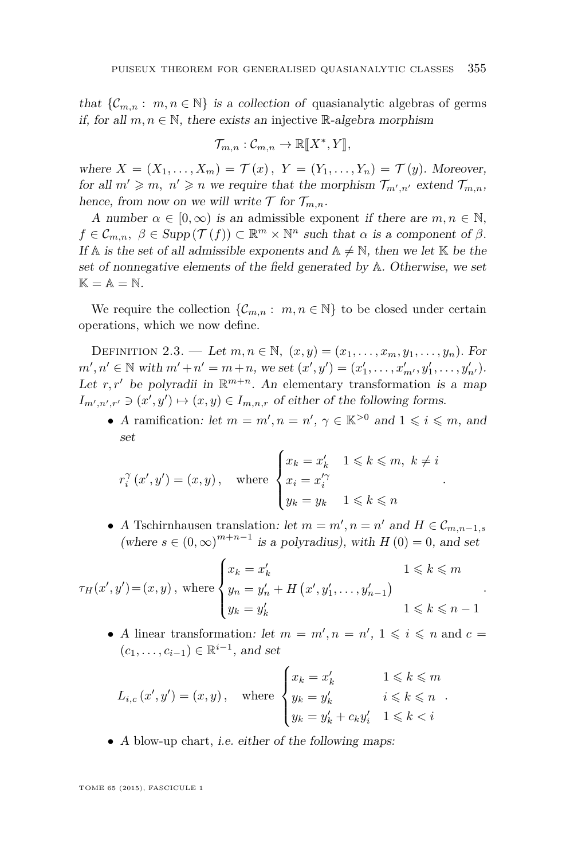<span id="page-7-0"></span>that  $\{\mathcal{C}_{m,n} : m, n \in \mathbb{N}\}\$ is a collection of quasianalytic algebras of germs if, for all  $m, n \in \mathbb{N}$ , there exists an injective R-algebra morphism

$$
\mathcal{T}_{m,n}: \mathcal{C}_{m,n} \to \mathbb{R}[\![X^*,Y]\!],
$$

where  $X = (X_1, ..., X_m) = \mathcal{T}(x)$ ,  $Y = (Y_1, ..., Y_n) = \mathcal{T}(y)$ . Moreover, for all  $m' \geq m$ ,  $n' \geq n$  we require that the morphism  $\mathcal{T}_{m',n'}$  extend  $\mathcal{T}_{m,n}$ , hence, from now on we will write  $\mathcal T$  for  $\mathcal T_{m,n}$ .

A number  $\alpha \in [0, \infty)$  is an admissible exponent if there are  $m, n \in \mathbb{N}$ ,  $f \in \mathcal{C}_{m,n}$ ,  $\beta \in \text{Supp}(\mathcal{T}(f)) \subset \mathbb{R}^m \times \mathbb{N}^n$  such that  $\alpha$  is a component of  $\beta$ . If A is the set of all admissible exponents and  $A \neq \mathbb{N}$ , then we let K be the set of nonnegative elements of the field generated by A. Otherwise, we set  $\mathbb{K} = \mathbb{A} = \mathbb{N}.$ 

We require the collection  $\{\mathcal{C}_{m,n}: m, n \in \mathbb{N}\}\)$  to be closed under certain operations, which we now define.

DEFINITION 2.3. — Let  $m, n \in \mathbb{N}$ ,  $(x, y) = (x_1, \ldots, x_m, y_1, \ldots, y_n)$ . For  $m', n' \in \mathbb{N}$  with  $m' + n' = m + n$ , we set  $(x', y') = (x'_1, \ldots, x'_{m'}, y'_1, \ldots, y'_{n'})$ . Let  $r, r'$  be polyradii in  $\mathbb{R}^{m+n}$ . An elementary transformation is a map  $I_{m',n',r'} \ni (x',y') \mapsto (x,y) \in I_{m,n,r}$  of either of the following forms.

• A ramification: let  $m = m', n = n', \gamma \in \mathbb{K}^{>0}$  and  $1 \leqslant i \leqslant m$ , and set

*.*

*.*

*.*

$$
r_i^{\gamma}(x', y') = (x, y), \quad \text{where } \begin{cases} x_k = x'_k & 1 \leq k \leq m, \ k \neq i \\ x_i = x'^{\gamma}_i \\ y_k = y_k & 1 \leq k \leq n \end{cases}
$$

• A Tschirnhausen translation: let  $m = m', n = n'$  and  $H \in \mathcal{C}_{m,n-1,s}$ (where  $s \in (0, \infty)^{m+n-1}$  is a polyradius), with  $H(0) = 0$ , and set

$$
\tau_H(x', y') = (x, y), \text{ where } \begin{cases} x_k = x'_k & 1 \le k \le m \\ y_n = y'_n + H(x', y'_1, \dots, y'_{n-1}) \\ y_k = y'_k & 1 \le k \le n-1 \end{cases}
$$

• A linear transformation: let  $m = m', n = n', 1 \leq i \leq n$  and  $c =$  $(c_1, \ldots, c_{i-1}) \in \mathbb{R}^{i-1}$ , and set

$$
L_{i,c}(x',y') = (x,y), \quad \text{where } \begin{cases} x_k = x'_k & 1 \leq k \leq m \\ y_k = y'_k & i \leq k \leq n \\ y_k = y'_k + c_k y'_i & 1 \leq k < i \end{cases}
$$

• A blow-up chart, i.e. either of the following maps: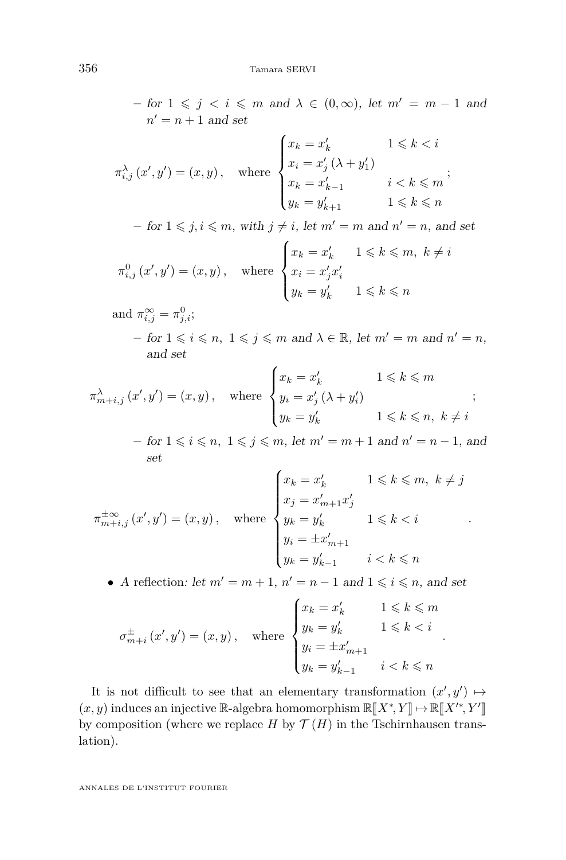$-$  for 1 ≤ *j* < *i* ≤ *m* and  $λ$  ∈ (0, ∞), let  $m' = m - 1$  and  $n' = n + 1$  and set

$$
\pi_{i,j}^{\lambda}(x',y') = (x,y), \quad \text{where } \begin{cases} x_k = x'_k & 1 \leq k < i \\ x_i = x'_j \ (\lambda + y'_1) & \\ x_k = x'_{k-1} & i < k \leq m \\ y_k = y'_{k+1} & 1 \leq k < n \end{cases};
$$

 $-$  for  $1 \leq j, i \leq m$ , with  $j \neq i$ , let  $m' = m$  and  $n' = n$ , and set

$$
\pi_{i,j}^0(x',y') = (x,y), \quad \text{where } \begin{cases} x_k = x'_k & 1 \leq k \leq m, \ k \neq i \\ x_i = x'_j x'_i \\ y_k = y'_k & 1 \leq k \leq n \end{cases}
$$

and  $\pi_{i,j}^{\infty} = \pi_{j,i}^0;$ 

 $-$  for  $1 \leq i \leq n$ ,  $1 \leq j \leq m$  and  $\lambda \in \mathbb{R}$ , let  $m' = m$  and  $n' = n$ , and set

$$
\pi_{m+i,j}^{\lambda}\left(x',y'\right)=\left(x,y\right),\quad\text{where}\begin{cases}x_{k}=x_{k}^{\prime} & 1\leqslant k\leqslant m\\y_{i}=x_{j}^{\prime}\left(\lambda+y_{i}^{\prime}\right) & ;\\y_{k}=y_{k}^{\prime} & 1\leqslant k\leqslant n,\ k\neq i\end{cases};
$$

 $−$  for  $1 \leq i \leq n$ ,  $1 \leq j \leq m$ , let  $m' = m + 1$  and  $n' = n - 1$ , and set

*.*

*.*

$$
\pi^{\pm \infty}_{m+i,j}(x',y') = (x,y), \quad \text{where } \begin{cases} x_k = x'_k & 1 \leqslant k \leqslant m, \ k \neq j \\ x_j = x'_{m+1} x'_j \\ y_k = y'_k & 1 \leqslant k < i \\ y_i = \pm x'_{m+1} \\ y_k = y'_{k-1} & i < k \leqslant n \end{cases}
$$

• A reflection: let  $m' = m + 1$ ,  $n' = n - 1$  and  $1 \leq i \leq n$ , and set

$$
\sigma_{m+i}^{\pm}\left(x',y'\right)=\left(x,y\right),\quad\text{where}\quad\begin{cases}x_k=x'_k&1\leqslant k\leqslant m\\y_k=y'_k&1\leqslant k< i\\y_i=\pm x'_{m+1}\\y_k=y'_{k-1}&i
$$

It is not difficult to see that an elementary transformation  $(x', y') \mapsto$  $(x, y)$  induces an injective R-algebra homomorphism  $\mathbb{R}[X^*, Y] \mapsto \mathbb{R}[X'^*, Y'$ by composition (where we replace *H* by  $\mathcal{T}(H)$  in the Tschirnhausen translation).

ANNALES DE L'INSTITUT FOURIER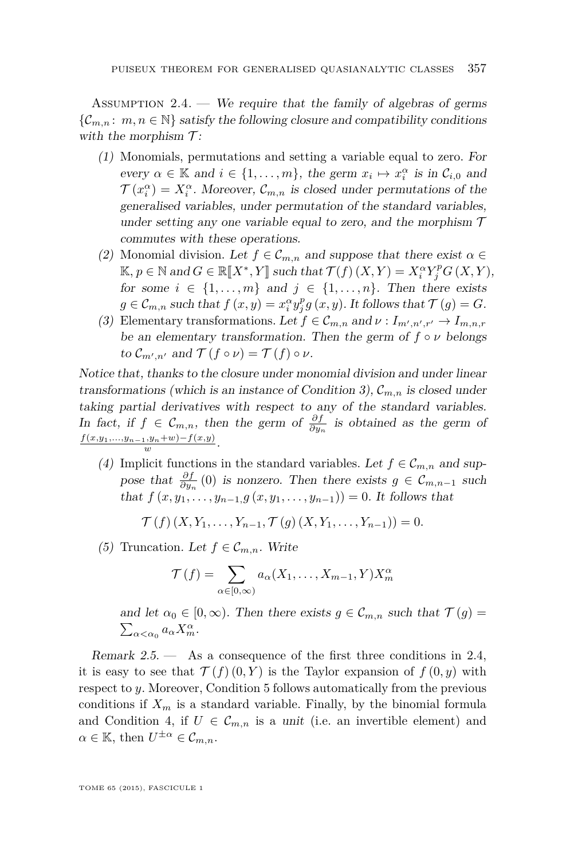<span id="page-9-0"></span>ASSUMPTION 2.4. — We require that the family of algebras of germs  $\{\mathcal{C}_{m,n}: m, n \in \mathbb{N}\}\$  satisfy the following closure and compatibility conditions with the morphism  $\mathcal{T}$ :

- (1) Monomials, permutations and setting a variable equal to zero. For every  $\alpha \in \mathbb{K}$  and  $i \in \{1, \ldots, m\}$ , the germ  $x_i \mapsto x_i^{\alpha}$  is in  $\mathcal{C}_{i,0}$  and  $\mathcal{T}(x_i^{\alpha}) = X_i^{\alpha}$ . Moreover,  $\mathcal{C}_{m,n}$  is closed under permutations of the generalised variables, under permutation of the standard variables, under setting any one variable equal to zero, and the morphism  $\mathcal T$ commutes with these operations.
- (2) Monomial division. Let  $f \in \mathcal{C}_{m,n}$  and suppose that there exist  $\alpha \in$  $K, p \in \mathbb{N}$  and  $G \in \mathbb{R}[X^*, Y]$  such that  $\mathcal{T}(f)(X, Y) = X_i^{\alpha} Y_j^{\beta} G(X, Y)$ , for some  $i \in [1, \infty]$ , and  $i \in [1, \infty]$ . Then there exists for some  $i \in \{1, \ldots, m\}$  and  $j \in \{1, \ldots, n\}$ . Then there exists  $g \in \mathcal{C}_{m,n}$  such that  $f(x, y) = x_i^{\alpha} y_j^p g(x, y)$ . It follows that  $\mathcal{T}(g) = G$ .
- (3) Elementary transformations. Let  $f \in \mathcal{C}_{m,n}$  and  $\nu: I_{m',n',r'} \to I_{m,n,r}$ be an elementary transformation. Then the germ of  $f \circ \nu$  belongs to  $\mathcal{C}_{m',n'}$  and  $\mathcal{T}(f \circ \nu) = \mathcal{T}(f) \circ \nu$ .

Notice that, thanks to the closure under monomial division and under linear transformations (which is an instance of Condition 3),  $\mathcal{C}_{m,n}$  is closed under taking partial derivatives with respect to any of the standard variables. In fact, if  $f \text{ } \in \mathcal{C}_{m,n}$ , then the germ of  $\frac{\partial f}{\partial y_n}$  is obtained as the germ of  $\frac{f(x,y_1,...,y_{n-1},y_n+w)-f(x,y)}{w}$ .

(4) Implicit functions in the standard variables. Let  $f \in \mathcal{C}_{m,n}$  and suppose that  $\frac{\partial f}{\partial y_n}(0)$  is nonzero. Then there exists  $g \in \mathcal{C}_{m,n-1}$  such that  $f(x, y_1, \ldots, y_{n-1}, g(x, y_1, \ldots, y_{n-1})) = 0$ . It follows that

 $\mathcal{T}(f)(X, Y_1, \ldots, Y_{n-1}, \mathcal{T}(g)(X, Y_1, \ldots, Y_{n-1})) = 0.$ 

(5) Truncation. Let  $f \in \mathcal{C}_{m,n}$ . Write

$$
\mathcal{T}(f) = \sum_{\alpha \in [0,\infty)} a_{\alpha}(X_1,\ldots,X_{m-1},Y) X_m^{\alpha}
$$

and let  $\alpha_0 \in [0, \infty)$ . Then there exists  $g \in \mathcal{C}_{m,n}$  such that  $\mathcal{T}(g)$  $\sum_{\alpha<\alpha_0}a_{\alpha}X_{m}^{\alpha}$ .

Remark 2.5. — As a consequence of the first three conditions in 2.4, it is easy to see that  $\mathcal{T}(f)(0, Y)$  is the Taylor expansion of  $f(0, y)$  with respect to *y*. Moreover, Condition 5 follows automatically from the previous conditions if  $X_m$  is a standard variable. Finally, by the binomial formula and Condition 4, if  $U \in \mathcal{C}_{m,n}$  is a unit (i.e. an invertible element) and  $\alpha \in \mathbb{K}$ , then  $U^{\pm \alpha} \in \mathcal{C}_{m,n}$ .

TOME 65 (2015), FASCICULE 1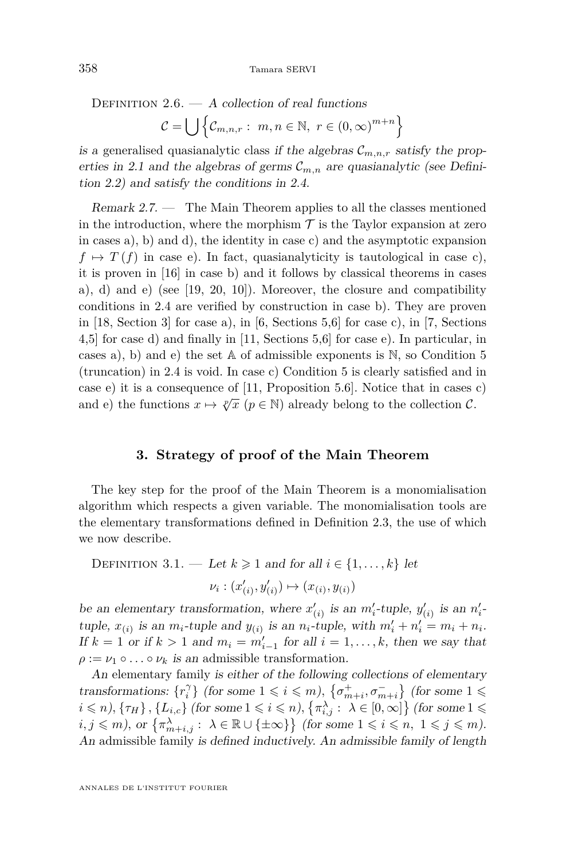<span id="page-10-0"></span>DEFINITION  $2.6. - A$  collection of real functions  $\mathcal{C} = \bigcup \left\{ \mathcal{C}_{m,n,r} : m,n \in \mathbb{N}, r \in (0,\infty)^{m+n} \right\}$ 

is a generalised quasianalytic class if the algebras  $\mathcal{C}_{m,n,r}$  satisfy the prop-erties in [2.1](#page-6-0) and the algebras of germs  $\mathcal{C}_{m,n}$  are quasianalytic (see Definition [2.2\)](#page-6-0) and satisfy the conditions in [2.4.](#page-9-0)

Remark 2.7. — The Main Theorem applies to all the classes mentioned in the introduction, where the morphism  $\mathcal T$  is the Taylor expansion at zero in cases a), b) and d), the identity in case c) and the asymptotic expansion  $f \mapsto T(f)$  in case e). In fact, quasianalyticity is tautological in case c), it is proven in [\[16\]](#page-20-0) in case b) and it follows by classical theorems in cases a), d) and e) (see  $[19, 20, 10]$  $[19, 20, 10]$  $[19, 20, 10]$  $[19, 20, 10]$  $[19, 20, 10]$ ). Moreover, the closure and compatibility conditions in [2.4](#page-9-0) are verified by construction in case b). They are proven in  $[18, Section 3]$  $[18, Section 3]$  for case a), in  $[6, Sections 5,6]$  $[6, Sections 5,6]$  for case c), in  $[7, Sections$  $[7, Sections$ 4,5] for case d) and finally in [\[11,](#page-20-0) Sections 5,6] for case e). In particular, in cases a), b) and e) the set  $A$  of admissible exponents is  $N$ , so Condition 5 (truncation) in [2.4](#page-9-0) is void. In case c) Condition 5 is clearly satisfied and in case e) it is a consequence of [\[11,](#page-20-0) Proposition 5.6]. Notice that in cases c) and e) the functions  $x \mapsto \sqrt[p]{x}$  ( $p \in \mathbb{N}$ ) already belong to the collection C.

#### **3. Strategy of proof of the Main Theorem**

The key step for the proof of the Main Theorem is a monomialisation algorithm which respects a given variable. The monomialisation tools are the elementary transformations defined in Definition [2.3,](#page-7-0) the use of which we now describe.

DEFINITION 3.1. — Let  $k \geq 1$  and for all  $i \in \{1, \ldots, k\}$  let

$$
\nu_i: (x'_{(i)}, y'_{(i)}) \mapsto (x_{(i)}, y_{(i)})
$$

be an elementary transformation, where  $x'_{(i)}$  is an  $m'_i$ -tuple,  $y'_{(i)}$  is an  $n'_i$ tuple,  $x_{(i)}$  is an  $m_i$ -tuple and  $y_{(i)}$  is an  $n_i$ -tuple, with  $m'_i + n'_i = m_i + n_i$ . If  $k = 1$  or if  $k > 1$  and  $m_i = m'_{i-1}$  for all  $i = 1, \ldots, k$ , then we say that  $\rho := \nu_1 \circ \ldots \circ \nu_k$  is an admissible transformation.

An elementary family is either of the following collections of elementary transformations:  $\{r_i^{\gamma}\}\$  (for some  $1 \leqslant i \leqslant m$ ),  $\{\sigma_{m+i}^+, \sigma_{m+i}^-\}$  (for some  $1 \leqslant$  $i \le n$ ),  $\{\tau_H\}$ ,  $\{L_{i,c}\}$  (for some  $1 \le i \le n$ ),  $\{\pi_{i,j}^{\lambda} : \lambda \in [0,\infty]\}$  (for some  $1 \le$  $i, j \leq m$ , or  $\{\pi_{m+i,j}^{\lambda} : \lambda \in \mathbb{R} \cup \{\pm \infty\}\}\$  (for some  $1 \leqslant i \leqslant n, 1 \leqslant j \leqslant m$ ). An admissible family is defined inductively. An admissible family of length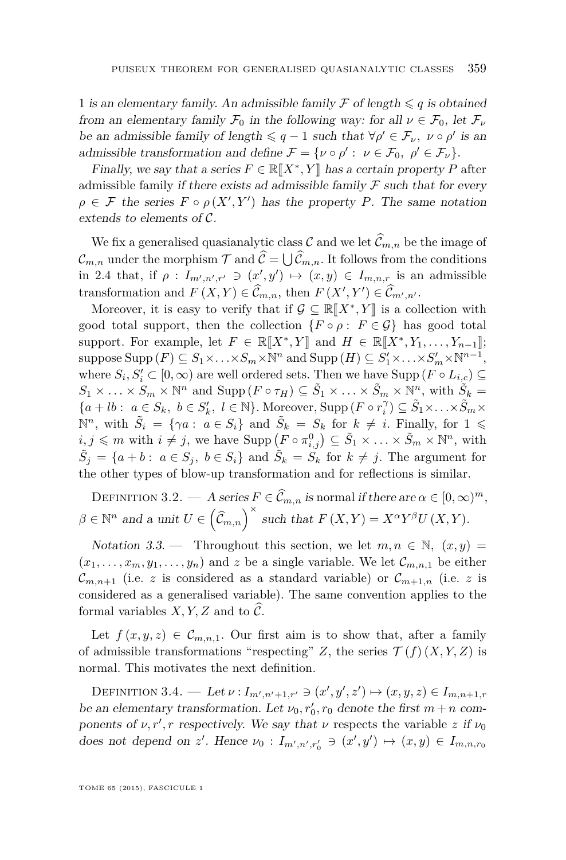<span id="page-11-0"></span>1 is an elementary family. An admissible family  $\mathcal F$  of length  $\leqslant q$  is obtained from an elementary family  $\mathcal{F}_0$  in the following way: for all  $\nu \in \mathcal{F}_0$ , let  $\mathcal{F}_\nu$ be an admissible family of length  $\leq q-1$  such that  $\forall \rho' \in \mathcal{F}_{\nu}$ ,  $\nu \circ \rho'$  is an admissible transformation and define  $\mathcal{F} = {\nu \circ \rho' : \nu \in \mathcal{F}_0, \ \rho' \in \mathcal{F}_\nu}.$ 

Finally, we say that a series  $F \in \mathbb{R}[\![X^*,Y]\!]$  has a certain property *P* after<br>miscible femily if there exists ad admiscible femily  $\mathcal{F}$  such that for examadmissible family if there exists ad admissible family  $\mathcal F$  such that for every  $\rho \in \mathcal{F}$  the series  $F \circ \rho(X', Y')$  has the property *P*. The same notation extends to elements of C.

We fix a generalised quasianalytic class  $\mathcal C$  and we let  $\widehat{\mathcal C}_{m,n}$  be the image of  $\mathcal{C}_{m,n}$  under the morphism  $\mathcal{T}$  and  $\mathcal{C} = \bigcup \mathcal{C}_{m,n}$ . It follows from the conditions in [2.4](#page-9-0) that, if  $\rho: I_{m',n',r'} \ni (x',y') \mapsto (x,y) \in I_{m,n,r}$  is an admissible transformation and  $F(X, Y) \in \mathcal{C}_{m,n}$ , then  $F(X', Y') \in \mathcal{C}_{m',n'}$ 

Moreover, it is easy to verify that if  $\mathcal{G} \subseteq \mathbb{R}[[X^*,Y]]$  is a collection with good total support, then the collection  $\{F \circ \rho : F \in \mathcal{G}\}\$  has good total support. For example, let  $F \in \mathbb{R}[[X^*, Y]]$  and  $H \in \mathbb{R}[[X^*, Y_1, \ldots, Y_{n-1}]]$ ; suppose  $\text{Supp}(F) \subseteq S_1 \times \ldots \times S_m \times \mathbb{N}^n$  and  $\text{Supp}(H) \subseteq S'_1 \times \ldots \times S'_m \times \mathbb{N}^{n-1}$ , where  $S_i, S'_i \subset [0, \infty)$  are well ordered sets. Then we have  $\text{Supp}(F \circ L_{i,c}) \subseteq$  $S_1 \times \ldots \times S_m \times \mathbb{N}^n$  and  $\text{Supp}(F \circ \tau_H) \subseteq \tilde{S}_1 \times \ldots \times \tilde{S}_m \times \mathbb{N}^n$ , with  $\tilde{S}_k =$  ${a + lb}: a \in S_k, b \in S'_k, l \in \mathbb{N}$ . Moreover, Supp  $(F \circ r_i^{\gamma}) \subseteq \tilde{S}_1 \times \ldots \times \tilde{S}_m \times$  $\mathbb{N}^n$ , with  $\tilde{S}_i = \{ \gamma a : a \in S_i \}$  and  $\tilde{S}_k = S_k$  for  $k \neq i$ . Finally, for  $1 \leq$  $i, j \leq m$  with  $i \neq j$ , we have  $\text{Supp}\left(F \circ \pi_{i,j}^0\right) \subseteq \tilde{S}_1 \times \ldots \times \tilde{S}_m \times \mathbb{N}^n$ , with  $\tilde{S}_j = \{a + b : a \in S_j, b \in S_i\}$  and  $\tilde{S}_k = S_k$  for  $k \neq j$ . The argument for the other types of blow-up transformation and for reflections is similar.

DEFINITION 3.2. — A series  $F \in \widehat{C}_{m,n}$  is normal if there are  $\alpha \in [0,\infty)^m$ ,  $\beta \in \mathbb{N}^n$  and a unit  $U \in (\hat{\mathcal{C}}_{m,n})^{\times}$  such that  $F(X,Y) = X^{\alpha}Y^{\beta}U(X,Y)$ .

Notation 3.3. — Throughout this section, we let  $m, n \in \mathbb{N}$ ,  $(x, y)$  $(x_1, \ldots, x_m, y_1, \ldots, y_n)$  and z be a single variable. We let  $\mathcal{C}_{m,n,1}$  be either  $\mathcal{C}_{m,n+1}$  (i.e. *z* is considered as a standard variable) or  $\mathcal{C}_{m+1,n}$  (i.e. *z* is considered as a generalised variable). The same convention applies to the formal variables  $X, Y, Z$  and to  $\mathcal{C}$ .

Let  $f(x, y, z) \in \mathcal{C}_{m,n,1}$ . Our first aim is to show that, after a family of admissible transformations "respecting" *Z*, the series  $\mathcal{T}(f)(X, Y, Z)$  is normal. This motivates the next definition.

 $DEFINITION 3.4.$  *→ Let ν* : *I<sub>m',n'+1,r'* ∋ (*x',y',z'*)  $\mapsto$  (*x,y,z*) ∈ *I<sub>m,n+1,r*</sub></sub> be an elementary transformation. Let  $\nu_0, r'_0, r_0$  denote the first  $m + n$  components of  $\nu, r', r$  respectively. We say that  $\nu$  respects the variable *z* if  $\nu_0$ does not depend on *z'*. Hence  $\nu_0: I_{m',n',r'_0} \ni (x', y') \mapsto (x, y) \in I_{m,n,r_0}$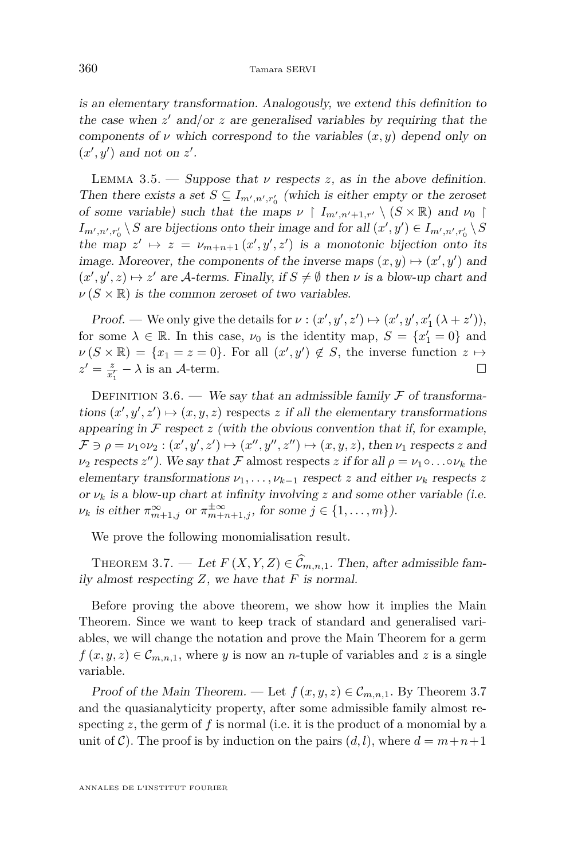<span id="page-12-0"></span>is an elementary transformation. Analogously, we extend this definition to the case when  $z'$  and/or  $z$  are generalised variables by requiring that the components of  $\nu$  which correspond to the variables  $(x, y)$  depend only on  $(x', y')$  and not on  $z'$ .

LEMMA 3.5. — Suppose that  $\nu$  respects *z*, as in the above definition. Then there exists a set  $S \subseteq I_{m',n',r_0'}$  (which is either empty or the zeroset of some variable) such that the maps  $\nu \restriction I_{m',n'+1,r'} \setminus (S \times \mathbb{R})$  and  $\nu_0 \restriction$  $I_{m',n',r_0'} \setminus S$  are bijections onto their image and for all  $(x', y') \in I_{m',n',r_0'} \setminus S$ the map  $z' \mapsto z = \nu_{m+n+1}(x', y', z')$  is a monotonic bijection onto its image. Moreover, the components of the inverse maps  $(x, y) \mapsto (x', y')$  and  $(x', y', z) \mapsto z'$  are A-terms. Finally, if  $S \neq \emptyset$  then  $\nu$  is a blow-up chart and  $\nu(S \times \mathbb{R})$  is the common zeroset of two variables.

Proof. — We only give the details for  $\nu : (x', y', z') \mapsto (x', y', x'_1 (\lambda + z')),$ for some  $\lambda \in \mathbb{R}$ . In this case,  $\nu_0$  is the identity map,  $S = \{x_1' = 0\}$  and  $\nu(S \times \mathbb{R}) = \{x_1 = z = 0\}$ . For all  $(x', y') \notin S$ , the inverse function  $z \mapsto$  $z' = \frac{z}{x'_1} - \lambda$  is an A-term.

DEFINITION 3.6. — We say that an admissible family  $\mathcal F$  of transformations  $(x', y', z') \mapsto (x, y, z)$  respects *z* if all the elementary transformations appearing in  $\mathcal F$  respect  $z$  (with the obvious convention that if, for example,  $\mathcal{F} \ni \rho = \nu_1 \circ \nu_2 : (x', y', z') \mapsto (x'', y'', z'') \mapsto (x, y, z)$ , then  $\nu_1$  respects *z* and  $\nu_2$  respects *z*<sup>*u*</sup>). We say that *F* almost respects *z* if for all  $\rho = \nu_1 \circ \ldots \circ \nu_k$  the elementary transformations  $\nu_1, \ldots, \nu_{k-1}$  respect *z* and either  $\nu_k$  respects *z* or  $\nu_k$  is a blow-up chart at infinity involving *z* and some other variable (i.e.  $\nu_k$  is either  $\pi_{m+1,j}^{\infty}$  or  $\pi_{m+n+1,j}^{\pm \infty}$ , for some  $j \in \{1, \ldots, m\}$ ).

We prove the following monomialisation result.

THEOREM 3.7. — Let  $F(X, Y, Z) \in \widehat{\mathcal{C}}_{m,n,1}$ . Then, after admissible family almost respecting *Z*, we have that *F* is normal.

Before proving the above theorem, we show how it implies the Main Theorem. Since we want to keep track of standard and generalised variables, we will change the notation and prove the Main Theorem for a germ  $f(x, y, z) \in \mathcal{C}_{m,n,1}$ , where *y* is now an *n*-tuple of variables and *z* is a single variable.

Proof of the Main Theorem. — Let  $f(x, y, z) \in \mathcal{C}_{m,n,1}$ . By Theorem 3.7 and the quasianalyticity property, after some admissible family almost respecting *z*, the germ of *f* is normal (i.e. it is the product of a monomial by a unit of C). The proof is by induction on the pairs  $(d, l)$ , where  $d = m + n + 1$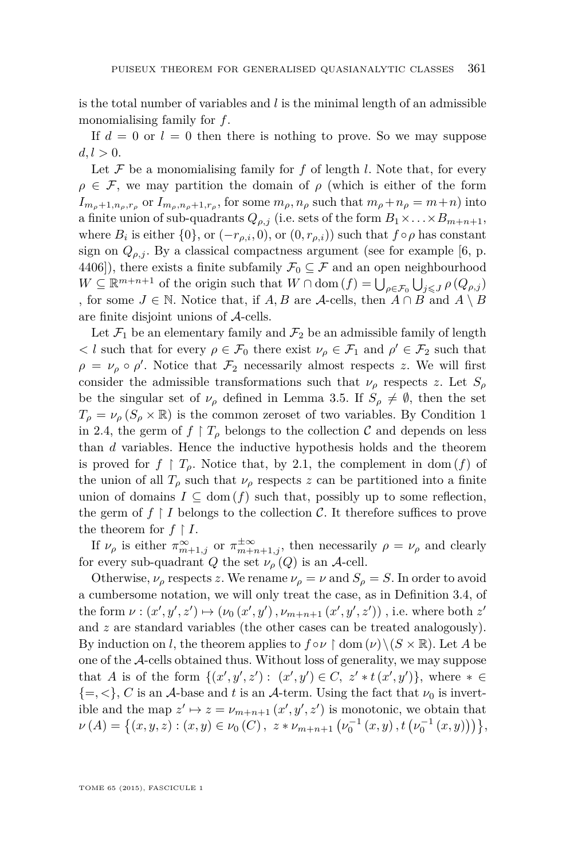is the total number of variables and *l* is the minimal length of an admissible monomialising family for *f*.

If  $d = 0$  or  $l = 0$  then there is nothing to prove. So we may suppose  $d, l > 0.$ 

Let  $\mathcal F$  be a monomialising family for  $f$  of length  $l$ . Note that, for every  $\rho \in \mathcal{F}$ , we may partition the domain of  $\rho$  (which is either of the form  $I_{m_{\rho}+1,n_{\rho},r_{\rho}}$  or  $I_{m_{\rho},n_{\rho}+1,r_{\rho}}$ , for some  $m_{\rho},n_{\rho}$  such that  $m_{\rho}+n_{\rho}=m+n$  into a finite union of sub-quadrants  $Q_{\rho,j}$  (i.e. sets of the form  $B_1 \times \ldots \times B_{m+n+1}$ , where  $B_i$  is either  $\{0\}$ , or  $(-r_{\rho,i}, 0)$ , or  $(0, r_{\rho,i})$  such that  $f \circ \rho$  has constant sign on  $Q_{\rho,i}$ . By a classical compactness argument (see for example [\[6,](#page-19-0) p. 4406]), there exists a finite subfamily  $\mathcal{F}_0 \subseteq \mathcal{F}$  and an open neighbourhood  $W \subseteq \mathbb{R}^{m+n+1}$  of the origin such that  $W \cap \text{dom}(f) = \bigcup_{\rho \in \mathcal{F}_0} \bigcup_{j \leqslant J} \rho(Q_{\rho,j})$ , for some  $J \in \mathbb{N}$ . Notice that, if  $A, B$  are  $\mathcal{A}\text{-cells}$ , then  $A \cap B$  and  $A \setminus B$ are finite disjoint unions of A-cells.

Let  $\mathcal{F}_1$  be an elementary family and  $\mathcal{F}_2$  be an admissible family of length  $\langle l \rangle$  such that for every  $\rho \in \mathcal{F}_0$  there exist  $\nu_\rho \in \mathcal{F}_1$  and  $\rho' \in \mathcal{F}_2$  such that  $\rho = \nu_\rho \circ \rho'$ . Notice that  $\mathcal{F}_2$  necessarily almost respects *z*. We will first consider the admissible transformations such that  $\nu_{\rho}$  respects *z*. Let  $S_{\rho}$ be the singular set of  $\nu_{\rho}$  defined in Lemma [3.5.](#page-12-0) If  $S_{\rho} \neq \emptyset$ , then the set  $T_{\rho} = \nu_{\rho} (S_{\rho} \times \mathbb{R})$  is the common zeroset of two variables. By Condition 1 in [2.4,](#page-9-0) the germ of  $f \upharpoonright T_\rho$  belongs to the collection C and depends on less than *d* variables. Hence the inductive hypothesis holds and the theorem is proved for  $f \restriction T_\rho$ . Notice that, by [2.1,](#page-6-0) the complement in dom  $(f)$  of the union of all  $T_\rho$  such that  $\nu_\rho$  respects *z* can be partitioned into a finite union of domains  $I \subseteq \text{dom}(f)$  such that, possibly up to some reflection, the germ of  $f \restriction I$  belongs to the collection  $\mathcal{C}$ . It therefore suffices to prove the theorem for  $f \restriction I$ .

If  $\nu_{\rho}$  is either  $\pi^{\infty}_{m+1,j}$  or  $\pi^{\pm \infty}_{m+n+1,j}$ , then necessarily  $\rho = \nu_{\rho}$  and clearly for every sub-quadrant *Q* the set  $\nu_{\rho}(Q)$  is an *A*-cell.

Otherwise,  $\nu_{\rho}$  respects *z*. We rename  $\nu_{\rho} = \nu$  and  $S_{\rho} = S$ . In order to avoid a cumbersome notation, we will only treat the case, as in Definition [3.4,](#page-11-0) of the form  $\nu : (x', y', z') \mapsto (\nu_0(x', y'), \nu_{m+n+1}(x', y', z'))$ , i.e. where both  $z'$ and *z* are standard variables (the other cases can be treated analogously). By induction on *l*, the theorem applies to  $f \circ \nu \upharpoonright \text{dom}(\nu) \setminus (S \times \mathbb{R})$ . Let *A* be one of the A-cells obtained thus. Without loss of generality, we may suppose that *A* is of the form  $\{(x', y', z') : (x', y') \in C, z' * t(x', y')\}$ , where  $* \in$  $\{=,<\}, C$  is an A-base and t is an A-term. Using the fact that  $\nu_0$  is invertible and the map  $z' \mapsto z = \nu_{m+n+1}(x', y', z')$  is monotonic, we obtain that  $\nu(A) = \left\{ (x, y, z) : (x, y) \in \nu_0(C), \ z * \nu_{m+n+1} \left( \nu_0^{-1}(x, y), t \left( \nu_0^{-1}(x, y) \right) \right) \right\},\$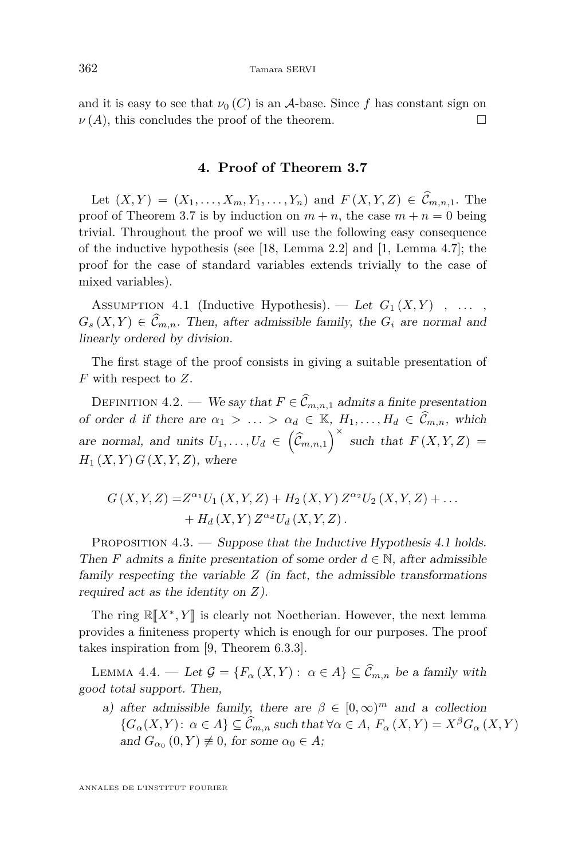<span id="page-14-0"></span>and it is easy to see that  $\nu_0(C)$  is an A-base. Since f has constant sign on  $\nu(A)$ , this concludes the proof of the theorem.

#### **4. Proof of Theorem [3.7](#page-12-0)**

Let  $(X, Y) = (X_1, \ldots, X_m, Y_1, \ldots, Y_n)$  and  $F(X, Y, Z) \in \widehat{\mathcal{C}}_{m,n,1}$ . The proof of Theorem [3.7](#page-12-0) is by induction on  $m + n$ , the case  $m + n = 0$  being trivial. Throughout the proof we will use the following easy consequence of the inductive hypothesis (see [\[18,](#page-20-0) Lemma 2.2] and [\[1,](#page-19-0) Lemma 4.7]; the proof for the case of standard variables extends trivially to the case of mixed variables).

ASSUMPTION 4.1 (Inductive Hypothesis). — Let  $G_1(X,Y)$ , ...,  $G_s(X, Y) \in \widehat{\mathcal{C}}_{m,n}$ . Then, after admissible family, the  $G_i$  are normal and linearly ordered by division.

The first stage of the proof consists in giving a suitable presentation of *F* with respect to *Z*.

DEFINITION 4.2. — We say that  $F \in \widehat{C}_{m,n,1}$  admits a finite presentation of order *d* if there are  $\alpha_1 > \ldots > \alpha_d \in \mathbb{K}$ ,  $H_1, \ldots, H_d \in \widehat{\mathcal{C}}_{m,n}$ , which are normal, and units  $U_1, \ldots, U_d \in (\hat{C}_{m,n,1})^{\times}$  such that  $F(X, Y, Z) =$  $H_1(X, Y)$   $G(X, Y, Z)$ , where

$$
G(X,Y,Z) = Z^{\alpha_1} U_1(X,Y,Z) + H_2(X,Y) Z^{\alpha_2} U_2(X,Y,Z) + \dots + H_d(X,Y) Z^{\alpha_d} U_d(X,Y,Z).
$$

PROPOSITION 4.3. — Suppose that the Inductive Hypothesis 4.1 holds. Then *F* admits a finite presentation of some order  $d \in \mathbb{N}$ , after admissible family respecting the variable *Z* (in fact, the admissible transformations required act as the identity on *Z*).

The ring  $\mathbb{R}[X^*, Y]$  is clearly not Noetherian. However, the next lemma<br>critical function of primary reports which is enough for our numerous. The proof provides a finiteness property which is enough for our purposes. The proof takes inspiration from [\[9,](#page-20-0) Theorem 6.3.3].

LEMMA 4.4. — Let  $\mathcal{G} = \{F_\alpha(X, Y) : \alpha \in A\} \subseteq \widehat{\mathcal{C}}_{m,n}$  be a family with good total support. Then,

a) after admissible family, there are  $\beta \in [0,\infty)^m$  and a collection  ${G_{\alpha}(X,Y): \alpha \in A} \subseteq \widehat{\mathcal{C}}_{m,n}$  such that  $\forall \alpha \in A, F_{\alpha}(X,Y) = X^{\beta}G_{\alpha}(X,Y)$ and  $G_{\alpha_0}(0, Y) \not\equiv 0$ , for some  $\alpha_0 \in A$ ;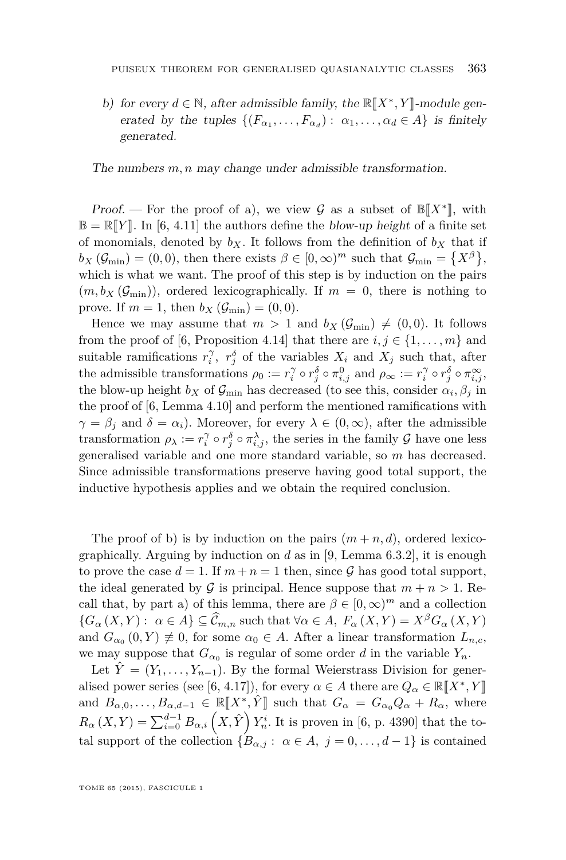b) for every  $d \in \mathbb{N}$ , after admissible family, the  $\mathbb{R}[X^*, Y]$ -module gen-<br>constant the tuning  $[(E - E) \cdot e - e] \cdot E$ erated by the tuples  $\{(F_{\alpha_1}, \ldots, F_{\alpha_d}) : \alpha_1, \ldots, \alpha_d \in A\}$  is finitely generated.

The numbers  $m, n$  may change under admissible transformation.

Proof. — For the proof of a), we view G as a subset of  $\mathbb{B}[X^*]$ , with  $\mathbb{B}[X^*]$  as a subset of  $\mathbb{B}[X^*]$ , with  $\mathbb{B} = \mathbb{R}[Y]$ . In [\[6,](#page-19-0) 4.11] the authors define the blow-up height of a finite set of monomials, denoted by  $b_X$ . It follows from the definition of  $b_X$  that if  $b_X(\mathcal{G}_{\text{min}}) = (0,0)$ , then there exists  $\beta \in [0,\infty)^m$  such that  $\mathcal{G}_{\text{min}} = \{X^{\beta}\},$ which is what we want. The proof of this step is by induction on the pairs  $(m, b_X(\mathcal{G}_{\text{min}}))$ , ordered lexicographically. If  $m = 0$ , there is nothing to prove. If  $m = 1$ , then  $b_X(\mathcal{G}_{\min}) = (0, 0)$ .

Hence we may assume that  $m > 1$  and  $b_X(\mathcal{G}_{\text{min}}) \neq (0, 0)$ . It follows from the proof of [\[6,](#page-19-0) Proposition 4.14] that there are  $i, j \in \{1, \ldots, m\}$  and suitable ramifications  $r_i^{\gamma}$ ,  $r_j^{\delta}$  of the variables  $X_i$  and  $X_j$  such that, after the admissible transformations  $\rho_0 := r_i^{\gamma} \circ r_j^{\delta} \circ \pi_{i,j}^0$  and  $\rho_{\infty} := r_i^{\gamma} \circ r_j^{\delta} \circ \pi_{i,j}^{\infty}$ , the blow-up height  $b_X$  of  $\mathcal{G}_{\text{min}}$  has decreased (to see this, consider  $\alpha_i, \beta_j$  in the proof of [\[6,](#page-19-0) Lemma 4.10] and perform the mentioned ramifications with  $\gamma = \beta_i$  and  $\delta = \alpha_i$ ). Moreover, for every  $\lambda \in (0, \infty)$ , after the admissible transformation  $\rho_{\lambda} := r_i^{\gamma} \circ r_j^{\delta} \circ \pi_{i,j}^{\lambda}$ , the series in the family  $\mathcal G$  have one less generalised variable and one more standard variable, so *m* has decreased. Since admissible transformations preserve having good total support, the inductive hypothesis applies and we obtain the required conclusion.

The proof of b) is by induction on the pairs  $(m+n, d)$ , ordered lexicographically. Arguing by induction on *d* as in [\[9,](#page-20-0) Lemma 6.3.2], it is enough to prove the case  $d = 1$ . If  $m + n = 1$  then, since  $\mathcal G$  has good total support, the ideal generated by G is principal. Hence suppose that  $m + n > 1$ . Recall that, by part a) of this lemma, there are  $\beta \in [0, \infty)^m$  and a collection  ${G_{\alpha}(X,Y): \alpha \in A} \subseteq \widehat{\mathcal{C}}_{m,n}$  such that  $\forall \alpha \in A, F_{\alpha}(X,Y) = X^{\beta}G_{\alpha}(X,Y)$ and  $G_{\alpha_0}(0, Y) \neq 0$ , for some  $\alpha_0 \in A$ . After a linear transformation  $L_{n,c}$ , we may suppose that  $G_{\alpha_0}$  is regular of some order *d* in the variable  $Y_n$ .

Let  $\hat{Y} = (Y_1, \ldots, Y_{n-1})$ . By the formal Weierstrass Division for gener-alised power series (see [\[6,](#page-19-0) 4.17]), for every  $\alpha \in A$  there are  $Q_{\alpha} \in \mathbb{R}[[X^*, Y]]$ and  $B_{\alpha,0}, \ldots, B_{\alpha,d-1} \in \mathbb{R}[\![X^*, \hat{Y}]\!]$  such that  $G_{\alpha} = G_{\alpha_0} Q_{\alpha} + R_{\alpha}$ , where  $R_{\alpha}(X,Y) = \sum_{i=0}^{d-1} B_{\alpha,i} (X,\hat{Y}) Y_n^i$ . It is proven in [\[6,](#page-19-0) p. 4390] that the total support of the collection  ${B_{\alpha,j}: \alpha \in A, j = 0, ..., d-1}$  is contained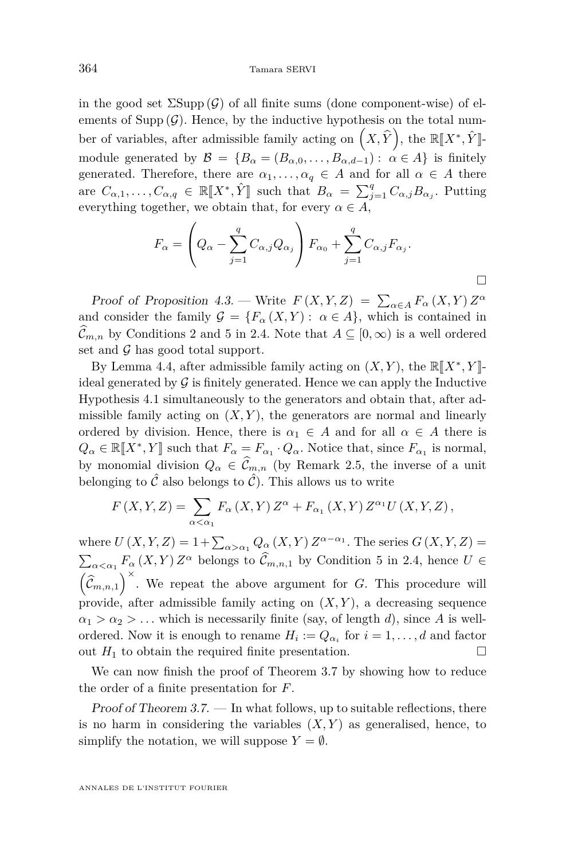in the good set  $\Sigma \text{Supp}(\mathcal{G})$  of all finite sums (done component-wise) of elements of Supp  $(\mathcal{G})$ . Hence, by the inductive hypothesis on the total number of variables, after admissible family acting on  $(X, \hat{Y})$ , the  $\mathbb{R}[X^*, \hat{Y}]$ module generated by  $\mathcal{B} = \{B_\alpha = (B_{\alpha,0}, \ldots, B_{\alpha,d-1}) : \alpha \in A\}$  is finitely generated. Therefore, there are  $\alpha_1, \ldots, \alpha_q \in A$  and for all  $\alpha \in A$  there are  $C_{\alpha,1}, \ldots, C_{\alpha,q} \in \mathbb{R}[[X^*, \hat{Y}]]$  such that  $B_{\alpha} = \sum_{j=1}^{q} C_{\alpha,j} B_{\alpha,j}$ . Putting everything together, we obtain that, for every  $\alpha \in A$ ,

$$
F_{\alpha} = \left(Q_{\alpha} - \sum_{j=1}^{q} C_{\alpha,j} Q_{\alpha_j}\right) F_{\alpha_0} + \sum_{j=1}^{q} C_{\alpha,j} F_{\alpha_j}.
$$

 $\Box$ 

Proof of Proposition [4.3.](#page-14-0) — Write  $F(X, Y, Z) = \sum_{\alpha \in A} F_{\alpha}(X, Y) Z^{\alpha}$ and consider the family  $\mathcal{G} = \{F_\alpha(X, Y) : \alpha \in A\}$ , which is contained in  $\widehat{\mathcal{C}}_{m,n}$  by Conditions 2 and 5 in [2.4.](#page-9-0) Note that  $A \subseteq [0,\infty)$  is a well ordered set and  $\mathcal G$  has good total support.

By Lemma [4.4,](#page-14-0) after admissible family acting on  $(X, Y)$ , the  $\mathbb{R}[X^*, Y]$ ideal generated by  $\mathcal G$  is finitely generated. Hence we can apply the Inductive Hypothesis [4.1](#page-14-0) simultaneously to the generators and obtain that, after admissible family acting on  $(X, Y)$ , the generators are normal and linearly ordered by division. Hence, there is  $\alpha_1 \in A$  and for all  $\alpha \in A$  there is  $Q_{\alpha} \in \mathbb{R}[\![X^*,Y]\!]$  such that  $F_{\alpha} = F_{\alpha_1} \cdot Q_{\alpha}$ . Notice that, since  $F_{\alpha_1}$  is normal, by monomial division  $Q_{\alpha} \in \widehat{\mathcal{C}}_{m,n}$  (by Remark [2.5,](#page-9-0) the inverse of a unit belonging to  $\hat{\mathcal{C}}$  also belongs to  $\hat{\mathcal{C}}$ ). This allows us to write

$$
F(X,Y,Z) = \sum_{\alpha < \alpha_1} F_{\alpha}(X,Y) Z^{\alpha} + F_{\alpha_1}(X,Y) Z^{\alpha_1} U(X,Y,Z),
$$

where  $U(X, Y, Z) = 1 + \sum_{\alpha > \alpha_1} Q_{\alpha}(X, Y) Z^{\alpha - \alpha_1}$ . The series  $G(X, Y, Z) =$  $\sum_{\alpha < \alpha_1} F_\alpha(X, Y) Z^\alpha$  belongs to  $\hat{C}_{m,n,1}$  by Condition 5 in [2.4,](#page-9-0) hence  $U \in$  $(\widehat{\mathcal{C}}_{m,n,1})^{\times}$ . We repeat the above argument for *G*. This procedure will provide, after admissible family acting on  $(X, Y)$ , a decreasing sequence  $\alpha_1 > \alpha_2 > \ldots$  which is necessarily finite (say, of length *d*), since *A* is wellordered. Now it is enough to rename  $H_i := Q_{\alpha_i}$  for  $i = 1, \ldots, d$  and factor out  $H_1$  to obtain the required finite presentation.

We can now finish the proof of Theorem [3.7](#page-12-0) by showing how to reduce the order of a finite presentation for *F*.

Proof of Theorem  $3.7.$  — In what follows, up to suitable reflections, there is no harm in considering the variables  $(X, Y)$  as generalised, hence, to simplify the notation, we will suppose  $Y = \emptyset$ .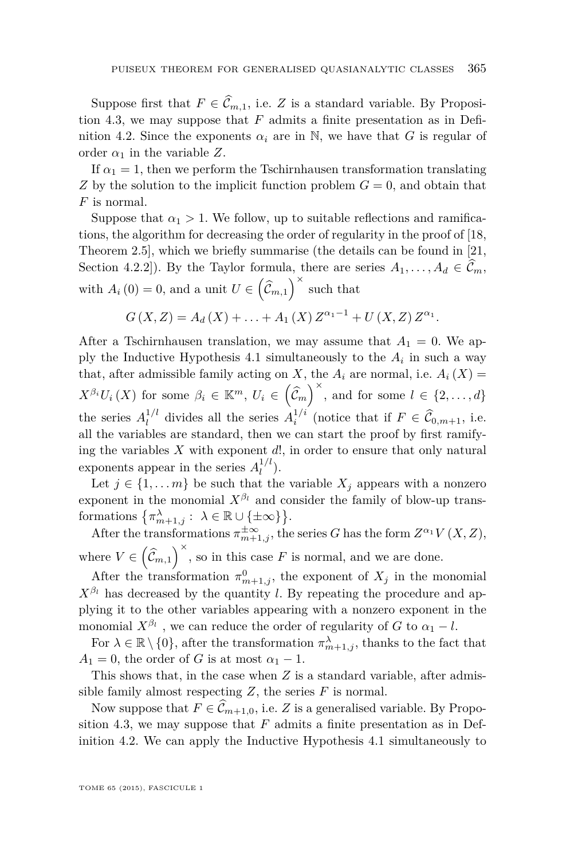Suppose first that  $F \in \widehat{\mathcal{C}}_{m,1}$ , i.e. *Z* is a standard variable. By Proposition [4.3,](#page-14-0) we may suppose that *F* admits a finite presentation as in Defi-nition [4.2.](#page-14-0) Since the exponents  $\alpha_i$  are in N, we have that *G* is regular of order  $\alpha_1$  in the variable Z.

If  $\alpha_1 = 1$ , then we perform the Tschirnhausen transformation translating *Z* by the solution to the implicit function problem  $G = 0$ , and obtain that *F* is normal.

Suppose that  $\alpha_1 > 1$ . We follow, up to suitable reflections and ramifications, the algorithm for decreasing the order of regularity in the proof of [\[18,](#page-20-0) Theorem 2.5], which we briefly summarise (the details can be found in [\[21,](#page-20-0) Section 4.2.2]). By the Taylor formula, there are series  $A_1, \ldots, A_d \in \mathcal{C}_m$ , with  $A_i(0) = 0$ , and a unit  $U \in (\widehat{\mathcal{C}}_{m,1})^{\times}$  such that

$$
G(X,Z) = A_d(X) + \ldots + A_1(X) Z^{\alpha_1 - 1} + U(X,Z) Z^{\alpha_1}.
$$

After a Tschirnhausen translation, we may assume that  $A_1 = 0$ . We ap-ply the Inductive Hypothesis [4.1](#page-14-0) simultaneously to the  $A_i$  in such a way that, after admissible family acting on *X*, the  $A_i$  are normal, i.e.  $A_i(X)$  $X^{\beta_i}U_i(X)$  for some  $\beta_i \in \mathbb{K}^m$ ,  $U_i \in (\hat{\mathcal{C}}_m)^\times$ , and for some  $l \in \{2, ..., d\}$ the series  $A_l^{1/l}$ <sup>1/l</sup>
<sup>d</sup> divides all the series  $A_i^{1/i}$  (notice that if  $F \in \widehat{\mathcal{C}}_{0,m+1}$ , i.e. all the variables are standard, then we can start the proof by first ramifying the variables *X* with exponent *d*!, in order to ensure that only natural exponents appear in the series  $A_l^{1/l}$  $\binom{1}{l}$ .

Let  $j \in \{1, \ldots m\}$  be such that the variable  $X_j$  appears with a nonzero exponent in the monomial  $X^{\beta_l}$  and consider the family of blow-up transformations  $\{\pi_{m+1,j}^{\lambda} : \lambda \in \mathbb{R} \cup \{\pm \infty\}\}.$ 

After the transformations  $\pi^{\pm \infty}_{m+1,j}$ , the series *G* has the form  $Z^{\alpha_1} V(X,Z)$ , where  $V \in (\hat{\mathcal{C}}_{m,1})^{\times}$ , so in this case *F* is normal, and we are done.

After the transformation  $\pi^0_{m+1,j}$ , the exponent of  $X_j$  in the monomial  $X^{\beta_l}$  has decreased by the quantity *l*. By repeating the procedure and applying it to the other variables appearing with a nonzero exponent in the monomial  $X^{\beta_l}$ , we can reduce the order of regularity of *G* to  $\alpha_1 - l$ .

For  $\lambda \in \mathbb{R} \setminus \{0\}$ , after the transformation  $\pi_{m+1,j}^{\lambda}$ , thanks to the fact that  $A_1 = 0$ , the order of *G* is at most  $\alpha_1 - 1$ .

This shows that, in the case when *Z* is a standard variable, after admissible family almost respecting  $Z$ , the series  $F$  is normal.

Now suppose that  $F \in \widehat{\mathcal{C}}_{m+1,0}$ , i.e. *Z* is a generalised variable. By Propo-sition [4.3,](#page-14-0) we may suppose that  $F$  admits a finite presentation as in Definition [4.2.](#page-14-0) We can apply the Inductive Hypothesis [4.1](#page-14-0) simultaneously to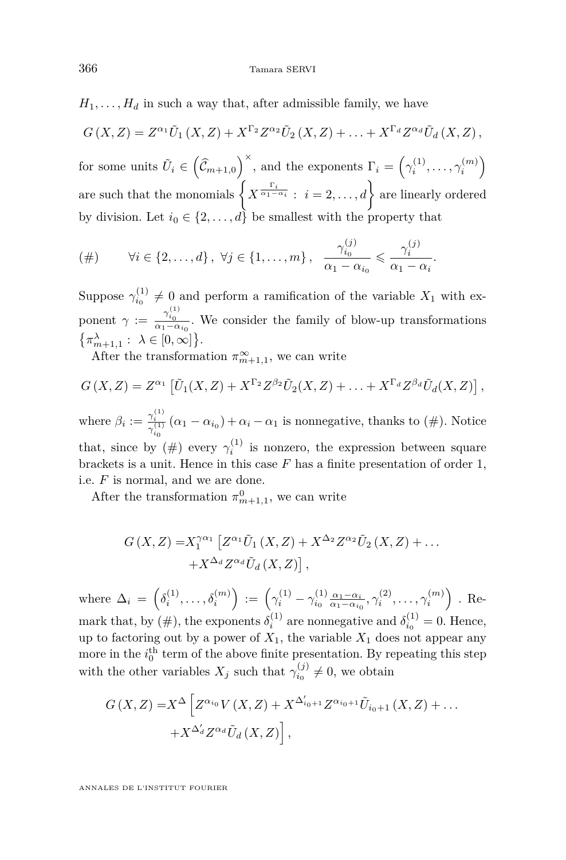$H_1, \ldots, H_d$  in such a way that, after admissible family, we have

$$
G(X,Z) = Z^{\alpha_1} \tilde{U}_1(X,Z) + X^{\Gamma_2} Z^{\alpha_2} \tilde{U}_2(X,Z) + \ldots + X^{\Gamma_d} Z^{\alpha_d} \tilde{U}_d(X,Z),
$$

for some units  $\tilde{U}_i \in \left(\hat{C}_{m+1,0}\right)^{\times}$ , and the exponents  $\Gamma_i = \left(\gamma_i^{(1)}, \ldots, \gamma_i^{(m)}\right)$ are such that the monomials  $\left\{X^{\frac{\Gamma_i}{\alpha_1-\alpha_i}}:\ i=2,\ldots,d\right\}$  are linearly ordered by division. Let  $i_0 \in \{2, \ldots, d\}$  be smallest with the property that

$$
(\#) \qquad \forall i \in \{2,\ldots,d\} \, , \, \forall j \in \{1,\ldots,m\} \, , \, \frac{\gamma_{i_0}^{(j)}}{\alpha_1 - \alpha_{i_0}} \leqslant \frac{\gamma_i^{(j)}}{\alpha_1 - \alpha_i}
$$

Suppose  $\gamma_{i_0}^{(1)} \neq 0$  and perform a ramification of the variable  $X_1$  with exponent  $\gamma := \frac{\gamma_{i_0}^{(1)}}{\alpha_1 - \alpha_{i_0}}$ . We consider the family of blow-up transformations  $\{\pi_{m+1,1}^{\lambda} : \lambda \in [0,\infty]\}.$ 

*.*

After the transformation  $\pi^{\infty}_{m+1,1}$ , we can write

$$
G(X,Z) = Z^{\alpha_1} \left[ \tilde{U}_1(X,Z) + X^{\Gamma_2} Z^{\beta_2} \tilde{U}_2(X,Z) + \ldots + X^{\Gamma_d} Z^{\beta_d} \tilde{U}_d(X,Z) \right],
$$

where  $\beta_i := \frac{\gamma_i^{(1)}}{\gamma_i^{(1)}} (\alpha_1 - \alpha_{i_0}) + \alpha_i - \alpha_1$  is nonnegative, thanks to (#). Notice  $i_0$ that, since by  $(\#)$  every  $\gamma_i^{(1)}$  is nonzero, the expression between square brackets is a unit. Hence in this case *F* has a finite presentation of order 1, i.e. *F* is normal, and we are done.

After the transformation  $\pi_{m+1,1}^0$ , we can write

$$
G(X,Z) = X_1^{\gamma\alpha_1} \left[ Z^{\alpha_1} \tilde{U}_1(X,Z) + X^{\Delta_2} Z^{\alpha_2} \tilde{U}_2(X,Z) + \dots + X^{\Delta_d} Z^{\alpha_d} \tilde{U}_d(X,Z) \right],
$$

where  $\Delta_i = \left( \delta_i^{(1)}, \ldots, \delta_i^{(m)} \right) := \left( \gamma_i^{(1)} - \gamma_{i_0}^{(1)} \frac{\alpha_1 - \alpha_i}{\alpha_1 - \alpha_{i_0}}, \gamma_i^{(2)}, \ldots, \gamma_i^{(m)} \right)$ . Remark that, by (#), the exponents  $\delta_i^{(1)}$  are nonnegative and  $\delta_{i_0}^{(1)} = 0$ . Hence, up to factoring out by a power of  $X_1$ , the variable  $X_1$  does not appear any more in the  $i_0^{\text{th}}$  term of the above finite presentation. By repeating this step with the other variables  $X_j$  such that  $\gamma_{i_0}^{(j)} \neq 0$ , we obtain

$$
G(X,Z) = X^{\Delta} \left[ Z^{\alpha_{i_0}} V(X,Z) + X^{\Delta'_{i_0+1}} Z^{\alpha_{i_0+1}} \tilde{U}_{i_0+1} (X,Z) + \dots + X^{\Delta'_{d}} Z^{\alpha_d} \tilde{U}_d (X,Z) \right],
$$

ANNALES DE L'INSTITUT FOURIER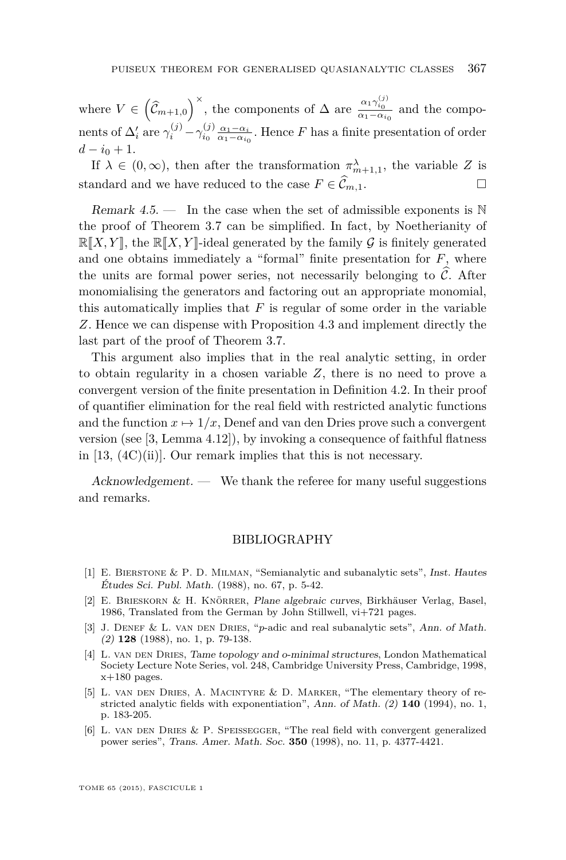<span id="page-19-0"></span>where  $V \in (\hat{\mathcal{C}}_{m+1,0})^{\times}$ , the components of  $\Delta$  are  $\frac{\alpha_1 \gamma_{i_0}^{(j)}}{\alpha_1 - \alpha_{i_0}}$  and the components of  $\Delta'_i$  are  $\gamma_i^{(j)} - \gamma_{i_0}^{(j)} \frac{\alpha_1 - \alpha_i}{\alpha_1 - \alpha_{i_0}}$ . Hence *F* has a finite presentation of order  $d - i_0 + 1$ .

If  $\lambda \in (0, \infty)$ , then after the transformation  $\pi_{m+1,1}^{\lambda}$ , the variable *Z* is standard and we have reduced to the case  $F \in \widehat{\mathcal{C}}_{m,1}$ .

Remark  $4.5$  — In the case when the set of admissible exponents is  $\mathbb N$ the proof of Theorem [3.7](#page-12-0) can be simplified. In fact, by Noetherianity of  $\mathbb{R}[X, Y]$ , the  $\mathbb{R}[X, Y]$ -ideal generated by the family G is finitely generated and one obtains immediately a "formal" finite presentation for *F*, where the units are formal power series, not necessarily belonging to  $\hat{\mathcal{C}}$ . After monomialising the generators and factoring out an appropriate monomial, this automatically implies that *F* is regular of some order in the variable *Z*. Hence we can dispense with Proposition [4.3](#page-14-0) and implement directly the last part of the proof of Theorem [3.7.](#page-12-0)

This argument also implies that in the real analytic setting, in order to obtain regularity in a chosen variable *Z*, there is no need to prove a convergent version of the finite presentation in Definition [4.2.](#page-14-0) In their proof of quantifier elimination for the real field with restricted analytic functions and the function  $x \mapsto 1/x$ , Denef and van den Dries prove such a convergent version (see [3, Lemma 4.12]), by invoking a consequence of faithful flatness in [\[13,](#page-20-0) (4C)(ii)]. Our remark implies that this is not necessary.

Acknowledgement. — We thank the referee for many useful suggestions and remarks.

#### BIBLIOGRAPHY

- [1] E. Bierstone & P. D. Milman, "Semianalytic and subanalytic sets", Inst. Hautes Études Sci. Publ. Math. (1988), no. 67, p. 5-42.
- [2] E. Brieskorn & H. Knörrer, Plane algebraic curves, Birkhäuser Verlag, Basel, 1986, Translated from the German by John Stillwell, vi+721 pages.
- [3] J. Denef & L. van den Dries, "*p*-adic and real subanalytic sets", Ann. of Math. (2) **128** (1988), no. 1, p. 79-138.
- [4] L. VAN DEN DRIES, Tame topology and o-minimal structures, London Mathematical Society Lecture Note Series, vol. 248, Cambridge University Press, Cambridge, 1998,  $x+180$  pages.
- [5] L. van den Dries, A. Macintyre & D. Marker, "The elementary theory of restricted analytic fields with exponentiation", Ann. of Math. (2) **140** (1994), no. 1, p. 183-205.
- [6] L. van den Dries & P. Speissegger, "The real field with convergent generalized power series", Trans. Amer. Math. Soc. **350** (1998), no. 11, p. 4377-4421.